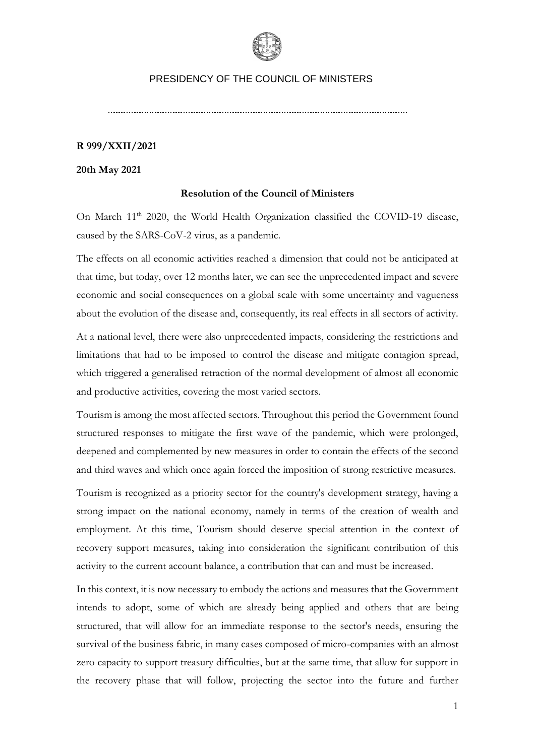

#### **R 999/XXII/2021**

**20th May 2021**

#### **Resolution of the Council of Ministers**

On March 11<sup>th</sup> 2020, the World Health Organization classified the COVID-19 disease, caused by the SARS-CoV-2 virus, as a pandemic.

The effects on all economic activities reached a dimension that could not be anticipated at that time, but today, over 12 months later, we can see the unprecedented impact and severe economic and social consequences on a global scale with some uncertainty and vagueness about the evolution of the disease and, consequently, its real effects in all sectors of activity.

At a national level, there were also unprecedented impacts, considering the restrictions and limitations that had to be imposed to control the disease and mitigate contagion spread, which triggered a generalised retraction of the normal development of almost all economic and productive activities, covering the most varied sectors.

Tourism is among the most affected sectors. Throughout this period the Government found structured responses to mitigate the first wave of the pandemic, which were prolonged, deepened and complemented by new measures in order to contain the effects of the second and third waves and which once again forced the imposition of strong restrictive measures.

Tourism is recognized as a priority sector for the country's development strategy, having a strong impact on the national economy, namely in terms of the creation of wealth and employment. At this time, Tourism should deserve special attention in the context of recovery support measures, taking into consideration the significant contribution of this activity to the current account balance, a contribution that can and must be increased.

In this context, it is now necessary to embody the actions and measures that the Government intends to adopt, some of which are already being applied and others that are being structured, that will allow for an immediate response to the sector's needs, ensuring the survival of the business fabric, in many cases composed of micro-companies with an almost zero capacity to support treasury difficulties, but at the same time, that allow for support in the recovery phase that will follow, projecting the sector into the future and further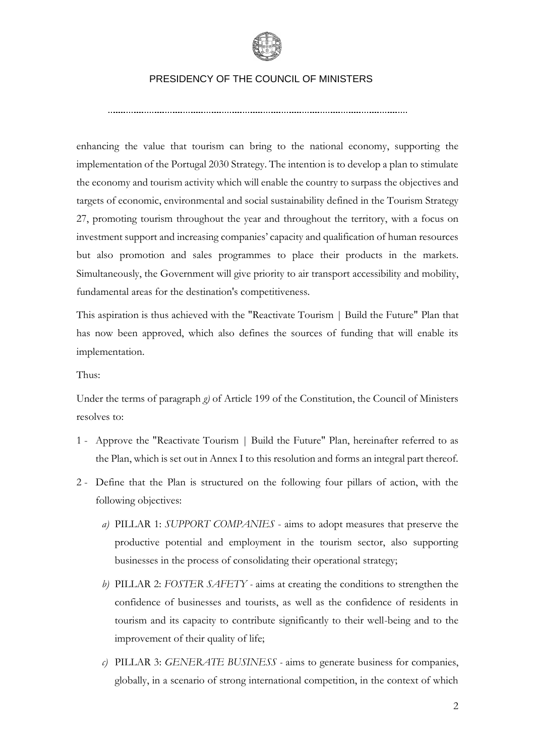

enhancing the value that tourism can bring to the national economy, supporting the implementation of the Portugal 2030 Strategy. The intention is to develop a plan to stimulate the economy and tourism activity which will enable the country to surpass the objectives and targets of economic, environmental and social sustainability defined in the Tourism Strategy 27, promoting tourism throughout the year and throughout the territory, with a focus on investment support and increasing companies' capacity and qualification of human resources but also promotion and sales programmes to place their products in the markets. Simultaneously, the Government will give priority to air transport accessibility and mobility, fundamental areas for the destination's competitiveness.

This aspiration is thus achieved with the "Reactivate Tourism | Build the Future" Plan that has now been approved, which also defines the sources of funding that will enable its implementation.

Thus:

Under the terms of paragraph *g)* of Article 199 of the Constitution, the Council of Ministers resolves to:

- 1 Approve the "Reactivate Tourism | Build the Future" Plan, hereinafter referred to as the Plan, which is set out in Annex I to this resolution and forms an integral part thereof.
- 2 Define that the Plan is structured on the following four pillars of action, with the following objectives:
	- *a)* PILLAR 1: *SUPPORT COMPANIES* aims to adopt measures that preserve the productive potential and employment in the tourism sector, also supporting businesses in the process of consolidating their operational strategy;
	- *b)* PILLAR 2: *FOSTER SAFETY -* aims at creating the conditions to strengthen the confidence of businesses and tourists, as well as the confidence of residents in tourism and its capacity to contribute significantly to their well-being and to the improvement of their quality of life;
	- *c)* PILLAR 3: *GENERATE BUSINESS -* aims to generate business for companies, globally, in a scenario of strong international competition, in the context of which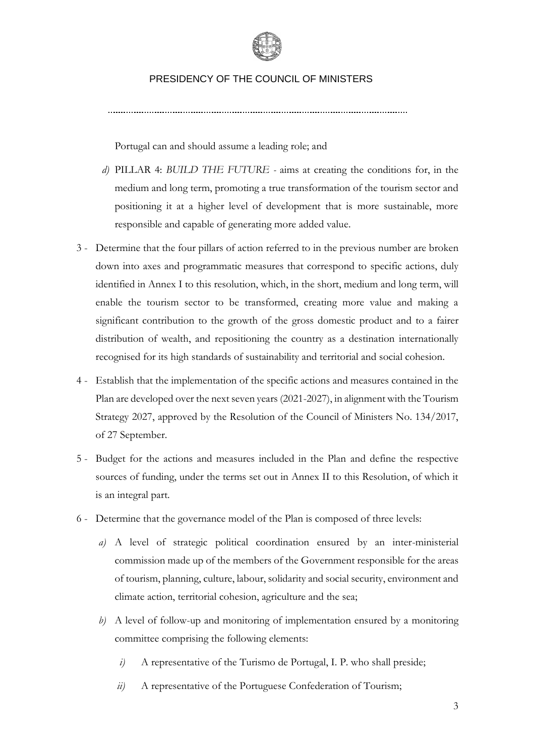

Portugal can and should assume a leading role; and

- *d)* PILLAR 4: *BUILD THE FUTURE -* aims at creating the conditions for, in the medium and long term, promoting a true transformation of the tourism sector and positioning it at a higher level of development that is more sustainable, more responsible and capable of generating more added value.
- 3 Determine that the four pillars of action referred to in the previous number are broken down into axes and programmatic measures that correspond to specific actions, duly identified in Annex I to this resolution, which, in the short, medium and long term, will enable the tourism sector to be transformed, creating more value and making a significant contribution to the growth of the gross domestic product and to a fairer distribution of wealth, and repositioning the country as a destination internationally recognised for its high standards of sustainability and territorial and social cohesion.
- 4 Establish that the implementation of the specific actions and measures contained in the Plan are developed over the next seven years (2021-2027), in alignment with the Tourism Strategy 2027, approved by the Resolution of the Council of Ministers No. 134/2017, of 27 September.
- 5 Budget for the actions and measures included in the Plan and define the respective sources of funding, under the terms set out in Annex II to this Resolution, of which it is an integral part.
- 6 Determine that the governance model of the Plan is composed of three levels:
	- *a)* A level of strategic political coordination ensured by an inter-ministerial commission made up of the members of the Government responsible for the areas of tourism, planning, culture, labour, solidarity and social security, environment and climate action, territorial cohesion, agriculture and the sea;
	- *b)* A level of follow-up and monitoring of implementation ensured by a monitoring committee comprising the following elements:
		- *i*) A representative of the Turismo de Portugal, I. P. who shall preside;
		- *ii)* A representative of the Portuguese Confederation of Tourism;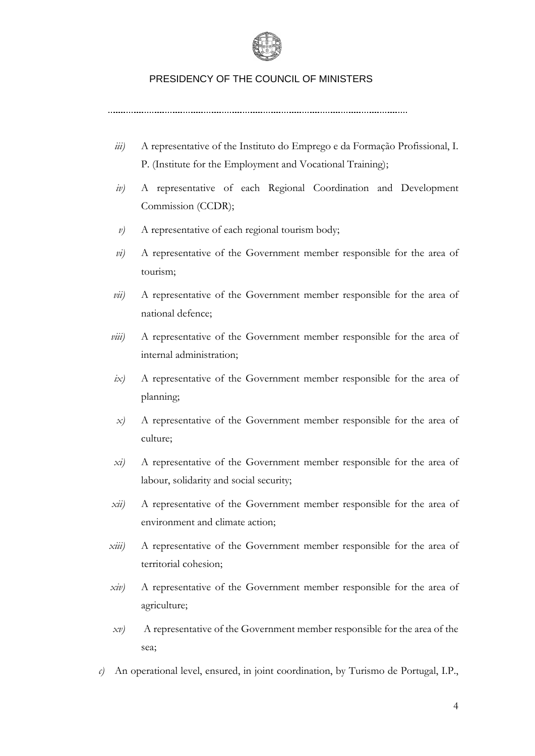

- *iii)* A representative of the Instituto do Emprego e da Formação Profissional, I. P. (Institute for the Employment and Vocational Training);
- *iv)* A representative of each Regional Coordination and Development Commission (CCDR);
- *v)* A representative of each regional tourism body;
- *vi)* A representative of the Government member responsible for the area of tourism;
- *vii)* A representative of the Government member responsible for the area of national defence;
- *viii*) A representative of the Government member responsible for the area of internal administration;
- *ix)* A representative of the Government member responsible for the area of planning;
- *x)* A representative of the Government member responsible for the area of culture;
- *xi)* A representative of the Government member responsible for the area of labour, solidarity and social security;
- *xii)* A representative of the Government member responsible for the area of environment and climate action;
- *xiii)* A representative of the Government member responsible for the area of territorial cohesion;
- *xiv)* A representative of the Government member responsible for the area of agriculture;
- *xv)* A representative of the Government member responsible for the area of the sea;
- *c)* An operational level, ensured, in joint coordination, by Turismo de Portugal, I.P.,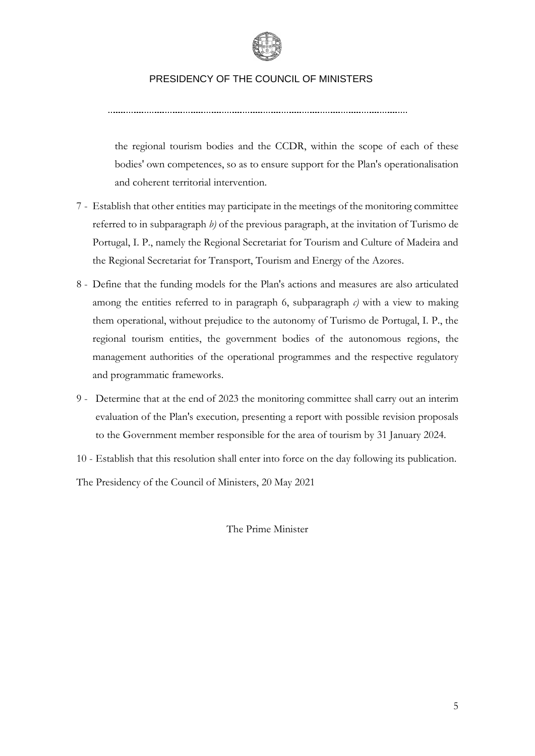

the regional tourism bodies and the CCDR, within the scope of each of these bodies' own competences, so as to ensure support for the Plan's operationalisation and coherent territorial intervention.

- 7 Establish that other entities may participate in the meetings of the monitoring committee referred to in subparagraph *b)* of the previous paragraph, at the invitation of Turismo de Portugal, I. P., namely the Regional Secretariat for Tourism and Culture of Madeira and the Regional Secretariat for Transport, Tourism and Energy of the Azores.
- 8 Define that the funding models for the Plan's actions and measures are also articulated among the entities referred to in paragraph 6, subparagraph  $c$ ) with a view to making them operational, without prejudice to the autonomy of Turismo de Portugal, I. P., the regional tourism entities, the government bodies of the autonomous regions, the management authorities of the operational programmes and the respective regulatory and programmatic frameworks.
- 9 Determine that at the end of 2023 the monitoring committee shall carry out an interim evaluation of the Plan's execution*,* presenting a report with possible revision proposals to the Government member responsible for the area of tourism by 31 January 2024.
- 10 Establish that this resolution shall enter into force on the day following its publication.

The Presidency of the Council of Ministers, 20 May 2021

The Prime Minister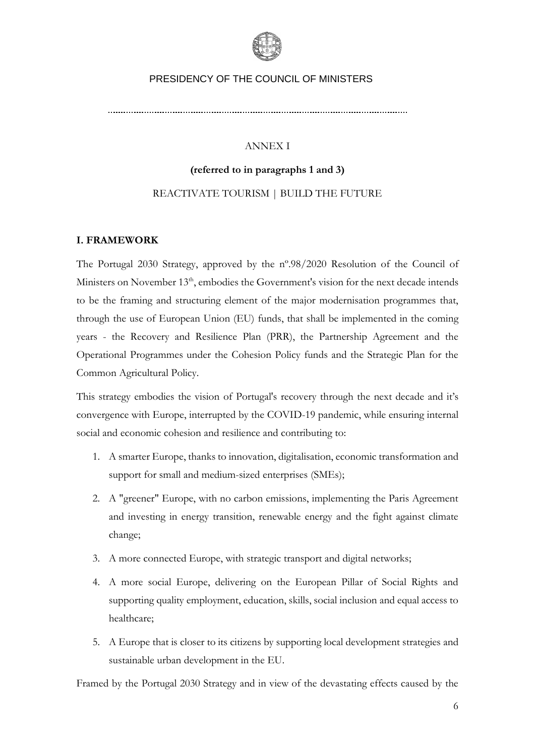

## ANNEX I

## **(referred to in paragraphs 1 and 3)** REACTIVATE TOURISM | BUILD THE FUTURE

## **I. FRAMEWORK**

The Portugal 2030 Strategy, approved by the nº.98/2020 Resolution of the Council of Ministers on November 13<sup>th</sup>, embodies the Government's vision for the next decade intends to be the framing and structuring element of the major modernisation programmes that, through the use of European Union (EU) funds, that shall be implemented in the coming years - the Recovery and Resilience Plan (PRR), the Partnership Agreement and the Operational Programmes under the Cohesion Policy funds and the Strategic Plan for the Common Agricultural Policy.

This strategy embodies the vision of Portugal's recovery through the next decade and it's convergence with Europe, interrupted by the COVID-19 pandemic, while ensuring internal social and economic cohesion and resilience and contributing to:

- 1. A smarter Europe, thanks to innovation, digitalisation, economic transformation and support for small and medium-sized enterprises (SMEs);
- 2. A "greener" Europe, with no carbon emissions, implementing the Paris Agreement and investing in energy transition, renewable energy and the fight against climate change;
- 3. A more connected Europe, with strategic transport and digital networks;
- 4. A more social Europe, delivering on the European Pillar of Social Rights and supporting quality employment, education, skills, social inclusion and equal access to healthcare;
- 5. A Europe that is closer to its citizens by supporting local development strategies and sustainable urban development in the EU.

Framed by the Portugal 2030 Strategy and in view of the devastating effects caused by the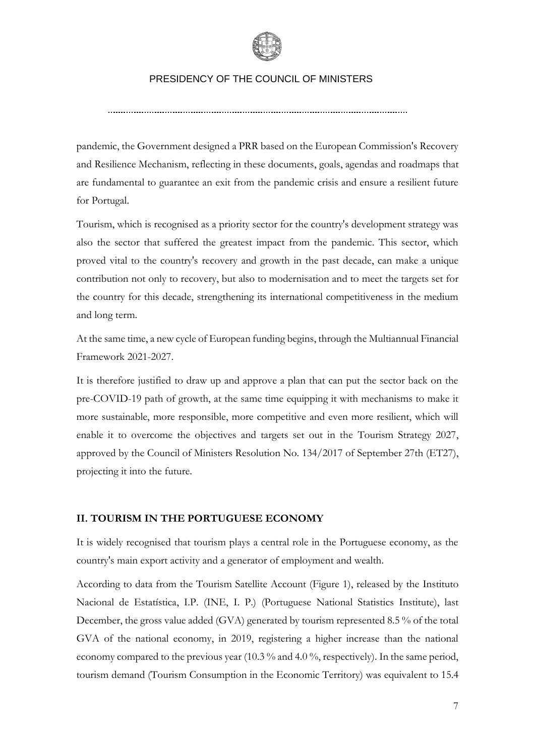

pandemic, the Government designed a PRR based on the European Commission's Recovery and Resilience Mechanism, reflecting in these documents, goals, agendas and roadmaps that are fundamental to guarantee an exit from the pandemic crisis and ensure a resilient future for Portugal.

Tourism, which is recognised as a priority sector for the country's development strategy was also the sector that suffered the greatest impact from the pandemic. This sector, which proved vital to the country's recovery and growth in the past decade, can make a unique contribution not only to recovery, but also to modernisation and to meet the targets set for the country for this decade, strengthening its international competitiveness in the medium and long term.

At the same time, a new cycle of European funding begins, through the Multiannual Financial Framework 2021-2027.

It is therefore justified to draw up and approve a plan that can put the sector back on the pre-COVID-19 path of growth, at the same time equipping it with mechanisms to make it more sustainable, more responsible, more competitive and even more resilient, which will enable it to overcome the objectives and targets set out in the Tourism Strategy 2027, approved by the Council of Ministers Resolution No. 134/2017 of September 27th (ET27), projecting it into the future.

## **II. TOURISM IN THE PORTUGUESE ECONOMY**

It is widely recognised that tourism plays a central role in the Portuguese economy, as the country's main export activity and a generator of employment and wealth.

According to data from the Tourism Satellite Account (Figure 1), released by the Instituto Nacional de Estatística, I.P. (INE, I. P.) (Portuguese National Statistics Institute), last December, the gross value added (GVA) generated by tourism represented 8.5 % of the total GVA of the national economy, in 2019, registering a higher increase than the national economy compared to the previous year (10.3 % and 4.0 %, respectively). In the same period, tourism demand (Tourism Consumption in the Economic Territory) was equivalent to 15.4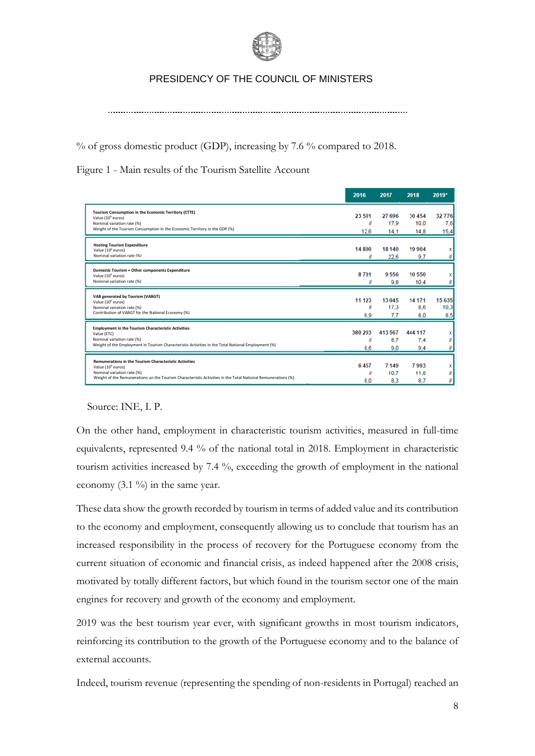

% of gross domestic product (GDP), increasing by 7.6 % compared to 2018.

Figure 1 - Main results of the Tourism Satellite Account

|                                                                                                              | 2016             | 2017    | 2018    | 2019*  |
|--------------------------------------------------------------------------------------------------------------|------------------|---------|---------|--------|
| Tourism Consumption in the Economic Territory (CTTE)                                                         | 23 501           | 27 696  | 30 454  | 32776  |
| Value (10 <sup>6</sup> euros)<br>Nominal variation rate (%)                                                  | $\boldsymbol{H}$ | 17.9    | 10.0    | 7,6    |
| Weight of the Tourism Consumption in the Economic Territory in the GDP (%)                                   | 12,6             | 14.1    | 14.8    | 15,4   |
| <b>Hosting Tourism Expenditure</b>                                                                           |                  |         |         |        |
| Value (10 <sup>6</sup> euros)                                                                                | 14 800           | 18 140  | 19904   |        |
| Nominal variation rate (%)                                                                                   |                  | 22,6    | 9.7     |        |
| Domestic Tourism + Other components Expenditure                                                              |                  |         |         |        |
| Value (10 <sup>6</sup> euros)                                                                                | 8701             | 9556    | 10 550  |        |
| Nominal variation rate (%)                                                                                   |                  | 9.8     | 10,4    |        |
| VAB generated by Tourism (VABGT)                                                                             |                  |         |         |        |
| Value (10 <sup>6</sup> euros)                                                                                | 11 123           | 13 045  | 14 171  | 15 635 |
| Nominal variation rate (%)                                                                                   | ll               | 17.3    | 8.6     | 10,3   |
| Contribution of VABGT for the National Economy (%)                                                           | 6,9              | 77      | 8.0     | 8.5    |
| <b>Employment in the Tourism Characteristic Activities</b>                                                   |                  |         |         |        |
| Value (ETC)                                                                                                  | 380 293          | 413 567 | 444 117 |        |
| Nominal variation rate (%)                                                                                   | Ш                | 8.7     | 7.4     |        |
| Weight of the Employment in Tourism Characteristic Activities in the Total National Employment (%)           | 8.6              | 9.0     | 9.4     |        |
| <b>Remunerations in the Tourism Characteristic Activities</b>                                                |                  |         |         |        |
| Value (10 <sup>6</sup> euros)                                                                                | 6457             | 7 149   | 7993    |        |
| Nominal variation rate (%)                                                                                   | N                | 10.7    | 11.8    |        |
| Weight of the Remunerations un the Tourism Characteristic Activities in the Total National Remunerations (%) | 8.0              | 8.3     | 8.7     |        |

Source: INE, I. P.

On the other hand, employment in characteristic tourism activities, measured in full-time equivalents, represented 9.4 % of the national total in 2018. Employment in characteristic tourism activities increased by 7.4 %, exceeding the growth of employment in the national economy  $(3.1 \%)$  in the same year.

These data show the growth recorded by tourism in terms of added value and its contribution to the economy and employment, consequently allowing us to conclude that tourism has an increased responsibility in the process of recovery for the Portuguese economy from the current situation of economic and financial crisis, as indeed happened after the 2008 crisis, motivated by totally different factors, but which found in the tourism sector one of the main engines for recovery and growth of the economy and employment.

2019 was the best tourism year ever, with significant growths in most tourism indicators, reinforcing its contribution to the growth of the Portuguese economy and to the balance of external accounts.

Indeed, tourism revenue (representing the spending of non-residents in Portugal) reached an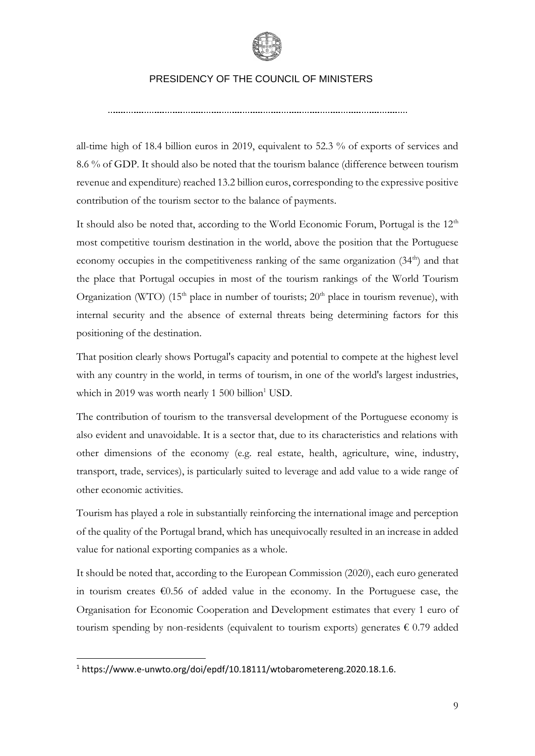

all-time high of 18.4 billion euros in 2019, equivalent to 52.3 % of exports of services and 8.6 % of GDP. It should also be noted that the tourism balance (difference between tourism revenue and expenditure) reached 13.2 billion euros, corresponding to the expressive positive contribution of the tourism sector to the balance of payments.

It should also be noted that, according to the World Economic Forum, Portugal is the  $12<sup>th</sup>$ most competitive tourism destination in the world, above the position that the Portuguese economy occupies in the competitiveness ranking of the same organization (34<sup>th</sup>) and that the place that Portugal occupies in most of the tourism rankings of the World Tourism Organization (WTO)  $(15<sup>th</sup>$  place in number of tourists;  $20<sup>th</sup>$  place in tourism revenue), with internal security and the absence of external threats being determining factors for this positioning of the destination.

That position clearly shows Portugal's capacity and potential to compete at the highest level with any country in the world, in terms of tourism, in one of the world's largest industries, which in 2019 was worth nearly 1 500 billion<sup>1</sup> USD.

The contribution of tourism to the transversal development of the Portuguese economy is also evident and unavoidable. It is a sector that, due to its characteristics and relations with other dimensions of the economy (e.g. real estate, health, agriculture, wine, industry, transport, trade, services), is particularly suited to leverage and add value to a wide range of other economic activities.

Tourism has played a role in substantially reinforcing the international image and perception of the quality of the Portugal brand, which has unequivocally resulted in an increase in added value for national exporting companies as a whole.

It should be noted that, according to the European Commission (2020), each euro generated in tourism creates €0.56 of added value in the economy. In the Portuguese case, the Organisation for Economic Cooperation and Development estimates that every 1 euro of tourism spending by non-residents (equivalent to tourism exports) generates  $\epsilon$  0.79 added

<sup>1</sup> https://www.e-unwto.org/doi/epdf/10.18111/wtobarometereng.2020.18.1.6.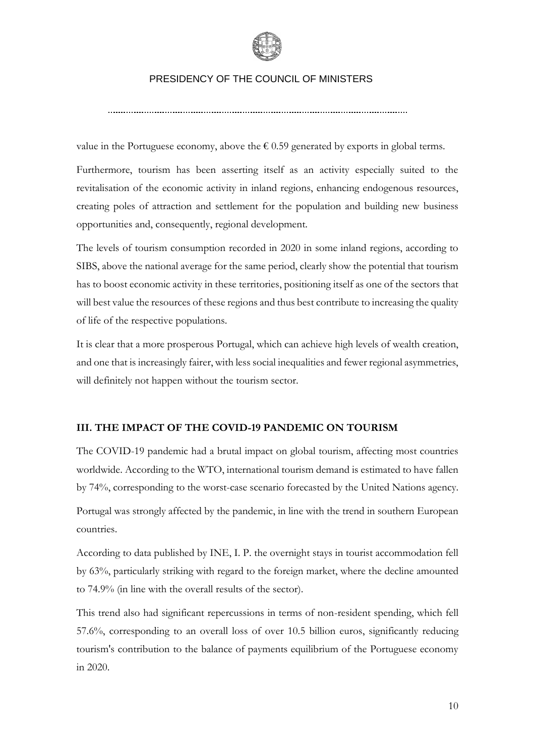

value in the Portuguese economy, above the  $\epsilon$  0.59 generated by exports in global terms.

Furthermore, tourism has been asserting itself as an activity especially suited to the revitalisation of the economic activity in inland regions, enhancing endogenous resources, creating poles of attraction and settlement for the population and building new business opportunities and, consequently, regional development.

The levels of tourism consumption recorded in 2020 in some inland regions, according to SIBS, above the national average for the same period, clearly show the potential that tourism has to boost economic activity in these territories, positioning itself as one of the sectors that will best value the resources of these regions and thus best contribute to increasing the quality of life of the respective populations.

It is clear that a more prosperous Portugal, which can achieve high levels of wealth creation, and one that is increasingly fairer, with less social inequalities and fewer regional asymmetries, will definitely not happen without the tourism sector.

## **III. THE IMPACT OF THE COVID-19 PANDEMIC ON TOURISM**

The COVID-19 pandemic had a brutal impact on global tourism, affecting most countries worldwide. According to the WTO, international tourism demand is estimated to have fallen by 74%, corresponding to the worst-case scenario forecasted by the United Nations agency. Portugal was strongly affected by the pandemic, in line with the trend in southern European countries.

According to data published by INE, I. P. the overnight stays in tourist accommodation fell by 63%, particularly striking with regard to the foreign market, where the decline amounted to 74.9% (in line with the overall results of the sector).

This trend also had significant repercussions in terms of non-resident spending, which fell 57.6%, corresponding to an overall loss of over 10.5 billion euros, significantly reducing tourism's contribution to the balance of payments equilibrium of the Portuguese economy in 2020.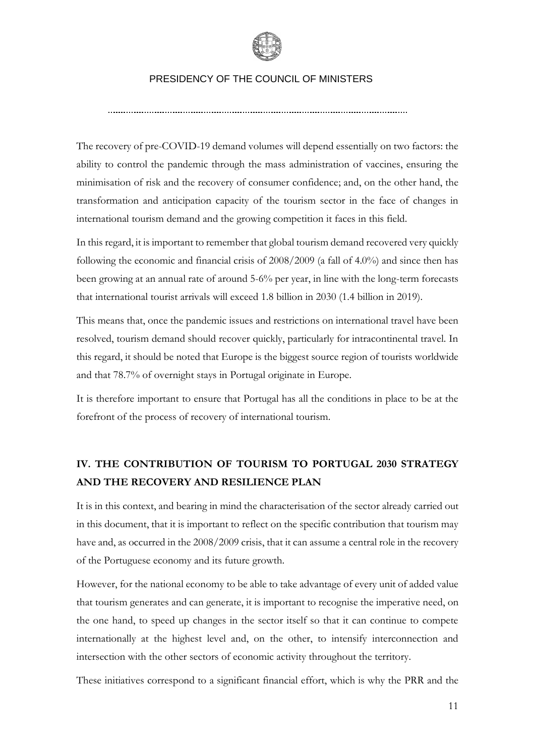

The recovery of pre-COVID-19 demand volumes will depend essentially on two factors: the ability to control the pandemic through the mass administration of vaccines, ensuring the minimisation of risk and the recovery of consumer confidence; and, on the other hand, the transformation and anticipation capacity of the tourism sector in the face of changes in international tourism demand and the growing competition it faces in this field.

In this regard, it is important to remember that global tourism demand recovered very quickly following the economic and financial crisis of 2008/2009 (a fall of 4.0%) and since then has been growing at an annual rate of around 5-6% per year, in line with the long-term forecasts that international tourist arrivals will exceed 1.8 billion in 2030 (1.4 billion in 2019).

This means that, once the pandemic issues and restrictions on international travel have been resolved, tourism demand should recover quickly, particularly for intracontinental travel. In this regard, it should be noted that Europe is the biggest source region of tourists worldwide and that 78.7% of overnight stays in Portugal originate in Europe.

It is therefore important to ensure that Portugal has all the conditions in place to be at the forefront of the process of recovery of international tourism.

## **IV. THE CONTRIBUTION OF TOURISM TO PORTUGAL 2030 STRATEGY AND THE RECOVERY AND RESILIENCE PLAN**

It is in this context, and bearing in mind the characterisation of the sector already carried out in this document, that it is important to reflect on the specific contribution that tourism may have and, as occurred in the 2008/2009 crisis, that it can assume a central role in the recovery of the Portuguese economy and its future growth.

However, for the national economy to be able to take advantage of every unit of added value that tourism generates and can generate, it is important to recognise the imperative need, on the one hand, to speed up changes in the sector itself so that it can continue to compete internationally at the highest level and, on the other, to intensify interconnection and intersection with the other sectors of economic activity throughout the territory.

These initiatives correspond to a significant financial effort, which is why the PRR and the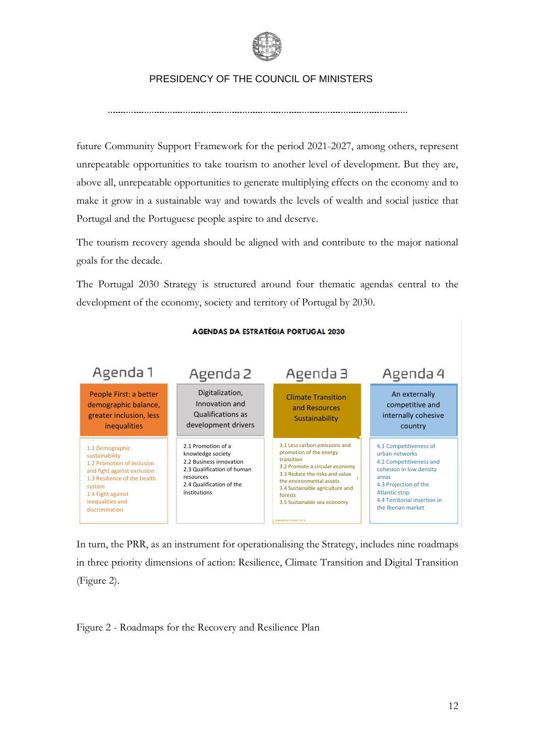

future Community Support Framework for the period 2021-2027, among others, represent unrepeatable opportunities to take tourism to another level of development. But they are, above all, unrepeatable opportunities to generate multiplying effects on the economy and to make it grow in a sustainable way and towards the levels of wealth and social justice that Portugal and the Portuguese people aspire to and deserve.

The tourism recovery agenda should be aligned with and contribute to the major national goals for the decade.

The Portugal 2030 Strategy is structured around four thematic agendas central to the development of the economy, society and territory of Portugal by 2030.



#### **AGENDAS DA ESTRATÉGIA PORTUGAL 2030**

In turn, the PRR, as an instrument for operationalising the Strategy, includes nine roadmaps in three priority dimensions of action: Resilience, Climate Transition and Digital Transition (Figure 2).

Figure 2 - Roadmaps for the Recovery and Resilience Plan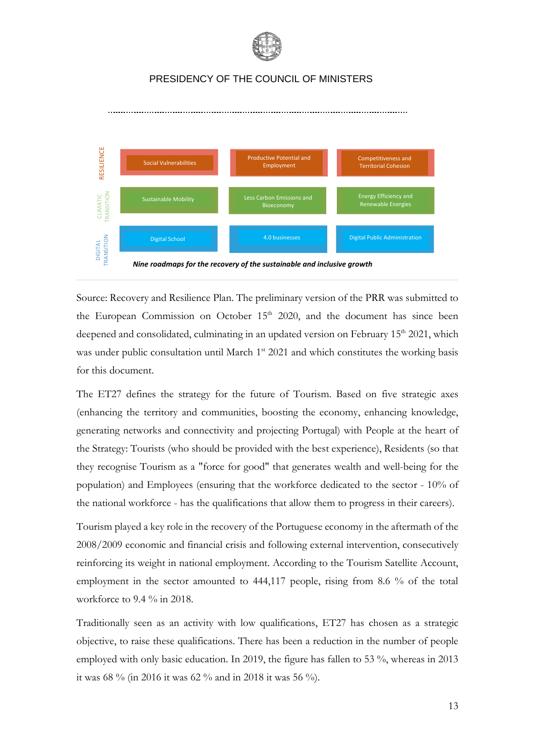



*Nine roadmaps for the recovery of the sustainable and inclusive growth*

Source: Recovery and Resilience Plan. The preliminary version of the PRR was submitted to the European Commission on October  $15<sup>th</sup>$  2020, and the document has since been deepened and consolidated, culminating in an updated version on February  $15<sup>th</sup> 2021$ , which was under public consultation until March 1<sup>st</sup> 2021 and which constitutes the working basis for this document.

The ET27 defines the strategy for the future of Tourism. Based on five strategic axes (enhancing the territory and communities, boosting the economy, enhancing knowledge, generating networks and connectivity and projecting Portugal) with People at the heart of the Strategy: Tourists (who should be provided with the best experience), Residents (so that they recognise Tourism as a "force for good" that generates wealth and well-being for the population) and Employees (ensuring that the workforce dedicated to the sector - 10% of the national workforce - has the qualifications that allow them to progress in their careers). Figure 1.1 Social value additional Mosket constant and the condition of the substantial second in the condition of the substantial of the substantine of the substantine of the substantine of the substantine of the substan

Tourism played a key role in the recovery of the Portuguese economy in the aftermath of the 2008/2009 economic and financial crisis and following external intervention, consecutively reinforcing its weight in national employment. According to the Tourism Satellite Account, employment in the sector amounted to 444,117 people, rising from 8.6 % of the total workforce to 9.4 % in 2018.

Traditionally seen as an activity with low qualifications, ET27 has chosen as a strategic objective, to raise these qualifications. There has been a reduction in the number of people employed with only basic education. In 2019, the figure has fallen to 53 %, whereas in 2013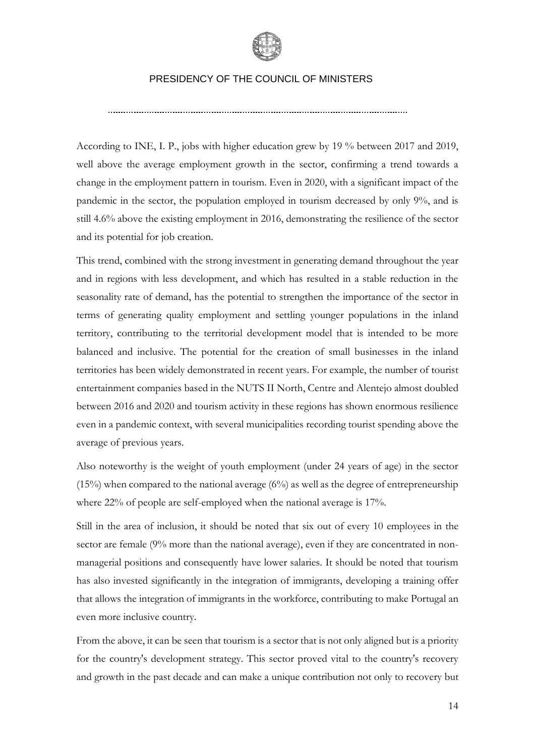

According to INE, I. P., jobs with higher education grew by 19 % between 2017 and 2019, well above the average employment growth in the sector, confirming a trend towards a change in the employment pattern in tourism. Even in 2020, with a significant impact of the pandemic in the sector, the population employed in tourism decreased by only 9%, and is still 4.6% above the existing employment in 2016, demonstrating the resilience of the sector and its potential for job creation.

This trend, combined with the strong investment in generating demand throughout the year and in regions with less development, and which has resulted in a stable reduction in the seasonality rate of demand, has the potential to strengthen the importance of the sector in terms of generating quality employment and settling younger populations in the inland territory, contributing to the territorial development model that is intended to be more balanced and inclusive. The potential for the creation of small businesses in the inland territories has been widely demonstrated in recent years. For example, the number of tourist entertainment companies based in the NUTS II North, Centre and Alentejo almost doubled between 2016 and 2020 and tourism activity in these regions has shown enormous resilience even in a pandemic context, with several municipalities recording tourist spending above the average of previous years.

Also noteworthy is the weight of youth employment (under 24 years of age) in the sector (15%) when compared to the national average  $(6\%)$  as well as the degree of entrepreneurship where 22% of people are self-employed when the national average is 17%.

Still in the area of inclusion, it should be noted that six out of every 10 employees in the sector are female (9% more than the national average), even if they are concentrated in nonmanagerial positions and consequently have lower salaries. It should be noted that tourism has also invested significantly in the integration of immigrants, developing a training offer that allows the integration of immigrants in the workforce, contributing to make Portugal an even more inclusive country.

From the above, it can be seen that tourism is a sector that is not only aligned but is a priority for the country's development strategy. This sector proved vital to the country's recovery and growth in the past decade and can make a unique contribution not only to recovery but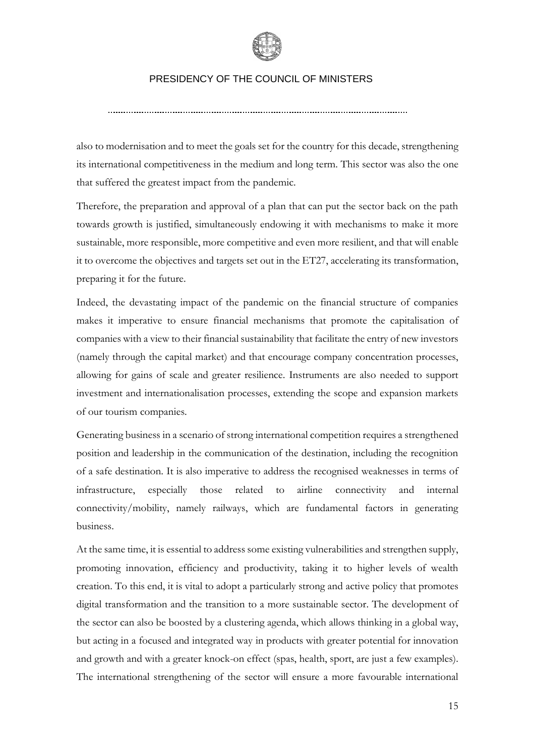

also to modernisation and to meet the goals set for the country for this decade, strengthening its international competitiveness in the medium and long term. This sector was also the one that suffered the greatest impact from the pandemic.

Therefore, the preparation and approval of a plan that can put the sector back on the path towards growth is justified, simultaneously endowing it with mechanisms to make it more sustainable, more responsible, more competitive and even more resilient, and that will enable it to overcome the objectives and targets set out in the ET27, accelerating its transformation, preparing it for the future.

Indeed, the devastating impact of the pandemic on the financial structure of companies makes it imperative to ensure financial mechanisms that promote the capitalisation of companies with a view to their financial sustainability that facilitate the entry of new investors (namely through the capital market) and that encourage company concentration processes, allowing for gains of scale and greater resilience. Instruments are also needed to support investment and internationalisation processes, extending the scope and expansion markets of our tourism companies.

Generating business in a scenario of strong international competition requires a strengthened position and leadership in the communication of the destination, including the recognition of a safe destination. It is also imperative to address the recognised weaknesses in terms of infrastructure, especially those related to airline connectivity and internal connectivity/mobility, namely railways, which are fundamental factors in generating business.

At the same time, it is essential to address some existing vulnerabilities and strengthen supply, promoting innovation, efficiency and productivity, taking it to higher levels of wealth creation. To this end, it is vital to adopt a particularly strong and active policy that promotes digital transformation and the transition to a more sustainable sector. The development of the sector can also be boosted by a clustering agenda, which allows thinking in a global way, but acting in a focused and integrated way in products with greater potential for innovation and growth and with a greater knock-on effect (spas, health, sport, are just a few examples). The international strengthening of the sector will ensure a more favourable international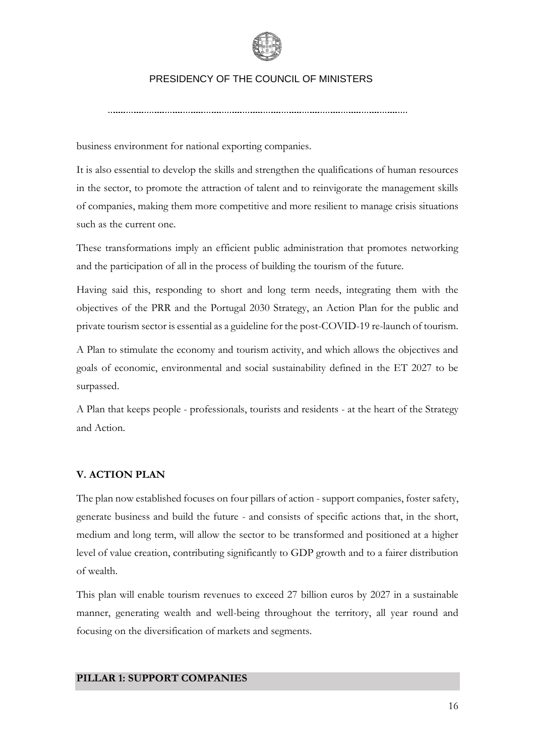

business environment for national exporting companies.

It is also essential to develop the skills and strengthen the qualifications of human resources in the sector, to promote the attraction of talent and to reinvigorate the management skills of companies, making them more competitive and more resilient to manage crisis situations such as the current one.

These transformations imply an efficient public administration that promotes networking and the participation of all in the process of building the tourism of the future.

Having said this, responding to short and long term needs, integrating them with the objectives of the PRR and the Portugal 2030 Strategy, an Action Plan for the public and private tourism sector is essential as a guideline for the post-COVID-19 re-launch of tourism.

A Plan to stimulate the economy and tourism activity, and which allows the objectives and goals of economic, environmental and social sustainability defined in the ET 2027 to be surpassed.

A Plan that keeps people - professionals, tourists and residents - at the heart of the Strategy and Action.

## **V. ACTION PLAN**

The plan now established focuses on four pillars of action - support companies, foster safety, generate business and build the future - and consists of specific actions that, in the short, medium and long term, will allow the sector to be transformed and positioned at a higher level of value creation, contributing significantly to GDP growth and to a fairer distribution of wealth.

This plan will enable tourism revenues to exceed 27 billion euros by 2027 in a sustainable manner, generating wealth and well-being throughout the territory, all year round and focusing on the diversification of markets and segments.

#### **PILLAR 1: SUPPORT COMPANIES**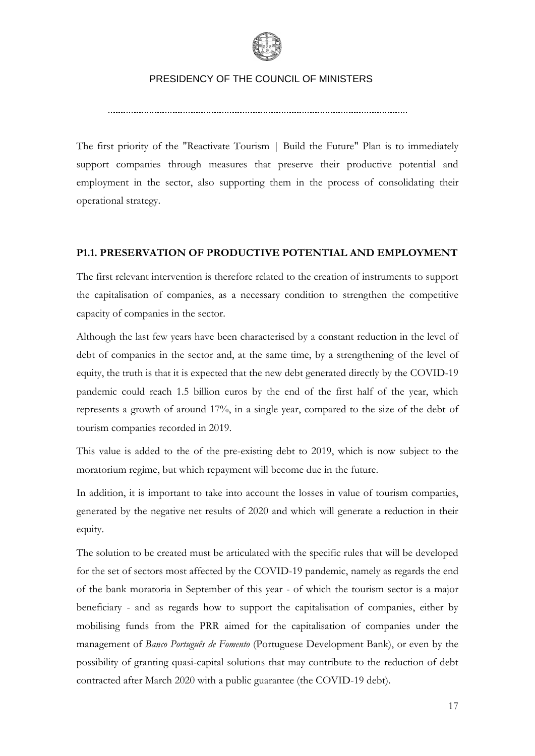

The first priority of the "Reactivate Tourism | Build the Future" Plan is to immediately support companies through measures that preserve their productive potential and employment in the sector, also supporting them in the process of consolidating their operational strategy.

## **P1.1. PRESERVATION OF PRODUCTIVE POTENTIAL AND EMPLOYMENT**

The first relevant intervention is therefore related to the creation of instruments to support the capitalisation of companies, as a necessary condition to strengthen the competitive capacity of companies in the sector.

Although the last few years have been characterised by a constant reduction in the level of debt of companies in the sector and, at the same time, by a strengthening of the level of equity, the truth is that it is expected that the new debt generated directly by the COVID-19 pandemic could reach 1.5 billion euros by the end of the first half of the year, which represents a growth of around 17%, in a single year, compared to the size of the debt of tourism companies recorded in 2019.

This value is added to the of the pre-existing debt to 2019, which is now subject to the moratorium regime, but which repayment will become due in the future.

In addition, it is important to take into account the losses in value of tourism companies, generated by the negative net results of 2020 and which will generate a reduction in their equity.

The solution to be created must be articulated with the specific rules that will be developed for the set of sectors most affected by the COVID-19 pandemic, namely as regards the end of the bank moratoria in September of this year - of which the tourism sector is a major beneficiary - and as regards how to support the capitalisation of companies, either by mobilising funds from the PRR aimed for the capitalisation of companies under the management of *Banco Português de Fomento* (Portuguese Development Bank), or even by the possibility of granting quasi-capital solutions that may contribute to the reduction of debt contracted after March 2020 with a public guarantee (the COVID-19 debt).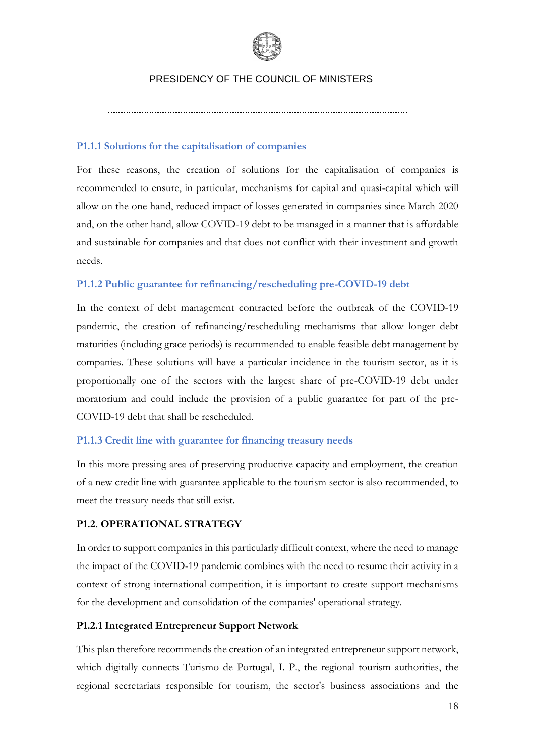

**P1.1.1 Solutions for the capitalisation of companies**

For these reasons, the creation of solutions for the capitalisation of companies is recommended to ensure, in particular, mechanisms for capital and quasi-capital which will allow on the one hand, reduced impact of losses generated in companies since March 2020 and, on the other hand, allow COVID-19 debt to be managed in a manner that is affordable and sustainable for companies and that does not conflict with their investment and growth needs.

## **P1.1.2 Public guarantee for refinancing/rescheduling pre-COVID-19 debt**

In the context of debt management contracted before the outbreak of the COVID-19 pandemic, the creation of refinancing/rescheduling mechanisms that allow longer debt maturities (including grace periods) is recommended to enable feasible debt management by companies. These solutions will have a particular incidence in the tourism sector, as it is proportionally one of the sectors with the largest share of pre-COVID-19 debt under moratorium and could include the provision of a public guarantee for part of the pre-COVID-19 debt that shall be rescheduled.

## **P1.1.3 Credit line with guarantee for financing treasury needs**

In this more pressing area of preserving productive capacity and employment, the creation of a new credit line with guarantee applicable to the tourism sector is also recommended, to meet the treasury needs that still exist.

#### **P1.2. OPERATIONAL STRATEGY**

In order to support companies in this particularly difficult context, where the need to manage the impact of the COVID-19 pandemic combines with the need to resume their activity in a context of strong international competition, it is important to create support mechanisms for the development and consolidation of the companies' operational strategy.

## **P1.2.1 Integrated Entrepreneur Support Network**

This plan therefore recommends the creation of an integrated entrepreneur support network, which digitally connects Turismo de Portugal, I. P., the regional tourism authorities, the regional secretariats responsible for tourism, the sector's business associations and the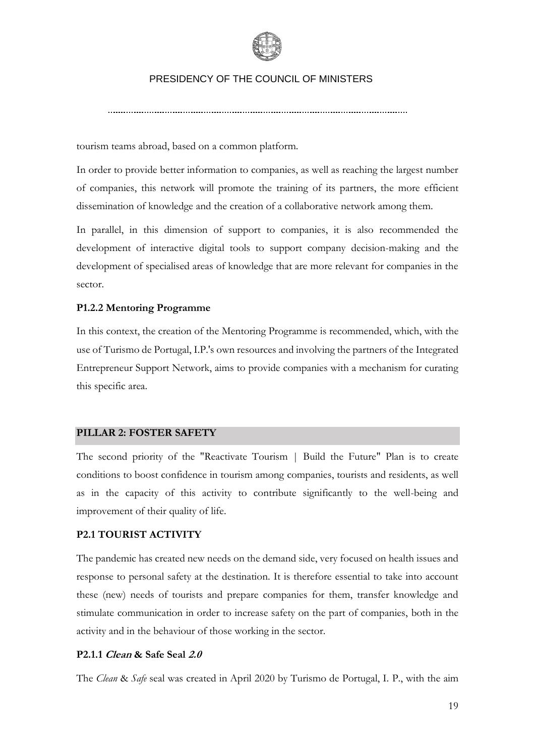

tourism teams abroad, based on a common platform.

In order to provide better information to companies, as well as reaching the largest number of companies, this network will promote the training of its partners, the more efficient dissemination of knowledge and the creation of a collaborative network among them.

In parallel, in this dimension of support to companies, it is also recommended the development of interactive digital tools to support company decision-making and the development of specialised areas of knowledge that are more relevant for companies in the sector.

#### **P1.2.2 Mentoring Programme**

In this context, the creation of the Mentoring Programme is recommended, which, with the use of Turismo de Portugal, I.P.'s own resources and involving the partners of the Integrated Entrepreneur Support Network, aims to provide companies with a mechanism for curating this specific area.

#### **PILLAR 2: FOSTER SAFETY**

The second priority of the "Reactivate Tourism | Build the Future" Plan is to create conditions to boost confidence in tourism among companies, tourists and residents, as well as in the capacity of this activity to contribute significantly to the well-being and improvement of their quality of life.

#### **P2.1 TOURIST ACTIVITY**

The pandemic has created new needs on the demand side, very focused on health issues and response to personal safety at the destination. It is therefore essential to take into account these (new) needs of tourists and prepare companies for them, transfer knowledge and stimulate communication in order to increase safety on the part of companies, both in the activity and in the behaviour of those working in the sector.

## **P2.1.1 Clean & Safe Seal 2.0**

The *Clean* & *Safe* seal was created in April 2020 by Turismo de Portugal, I. P., with the aim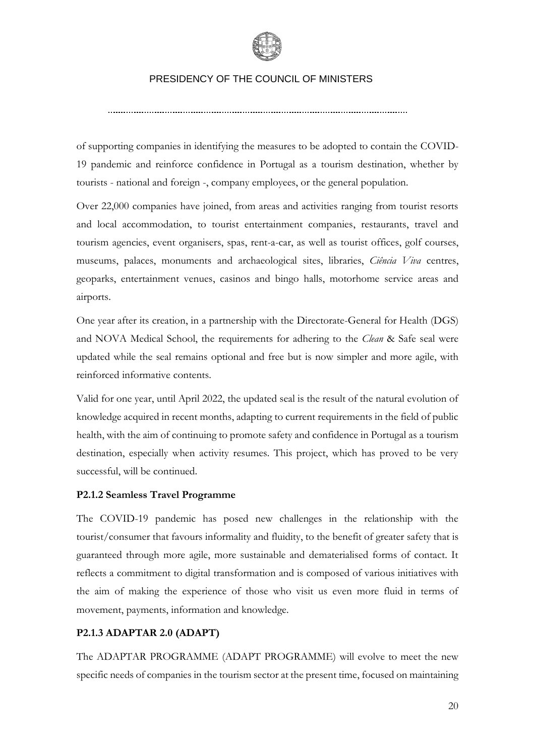

of supporting companies in identifying the measures to be adopted to contain the COVID-19 pandemic and reinforce confidence in Portugal as a tourism destination, whether by tourists - national and foreign -, company employees, or the general population.

Over 22,000 companies have joined, from areas and activities ranging from tourist resorts and local accommodation, to tourist entertainment companies, restaurants, travel and tourism agencies, event organisers, spas, rent-a-car, as well as tourist offices, golf courses, museums, palaces, monuments and archaeological sites, libraries, *Ciência Viva* centres, geoparks, entertainment venues, casinos and bingo halls, motorhome service areas and airports.

One year after its creation, in a partnership with the Directorate-General for Health (DGS) and NOVA Medical School, the requirements for adhering to the *Clean* & Safe seal were updated while the seal remains optional and free but is now simpler and more agile, with reinforced informative contents.

Valid for one year, until April 2022, the updated seal is the result of the natural evolution of knowledge acquired in recent months, adapting to current requirements in the field of public health, with the aim of continuing to promote safety and confidence in Portugal as a tourism destination, especially when activity resumes. This project, which has proved to be very successful, will be continued.

## **P2.1.2 Seamless Travel Programme**

The COVID-19 pandemic has posed new challenges in the relationship with the tourist/consumer that favours informality and fluidity, to the benefit of greater safety that is guaranteed through more agile, more sustainable and dematerialised forms of contact. It reflects a commitment to digital transformation and is composed of various initiatives with the aim of making the experience of those who visit us even more fluid in terms of movement, payments, information and knowledge.

## **P2.1.3 ADAPTAR 2.0 (ADAPT)**

The ADAPTAR PROGRAMME (ADAPT PROGRAMME) will evolve to meet the new specific needs of companies in the tourism sector at the present time, focused on maintaining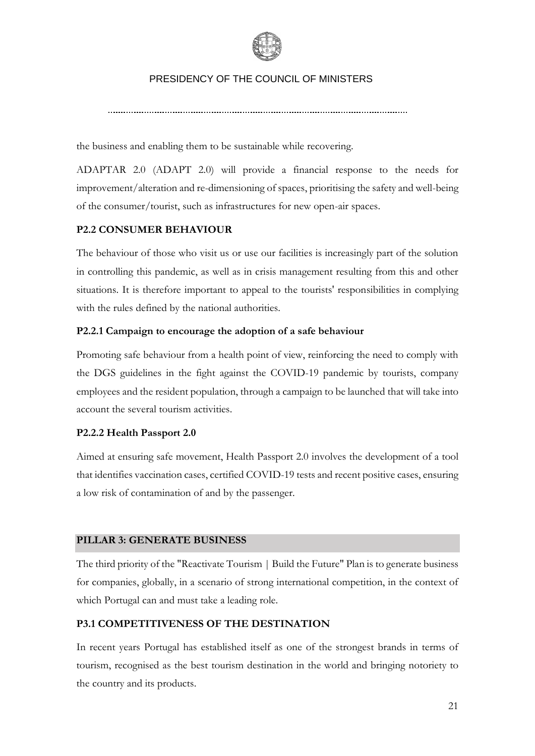

the business and enabling them to be sustainable while recovering.

ADAPTAR 2.0 (ADAPT 2.0) will provide a financial response to the needs for improvement/alteration and re-dimensioning of spaces, prioritising the safety and well-being of the consumer/tourist, such as infrastructures for new open-air spaces.

## **P2.2 CONSUMER BEHAVIOUR**

The behaviour of those who visit us or use our facilities is increasingly part of the solution in controlling this pandemic, as well as in crisis management resulting from this and other situations. It is therefore important to appeal to the tourists' responsibilities in complying with the rules defined by the national authorities.

## **P2.2.1 Campaign to encourage the adoption of a safe behaviour**

Promoting safe behaviour from a health point of view, reinforcing the need to comply with the DGS guidelines in the fight against the COVID-19 pandemic by tourists, company employees and the resident population, through a campaign to be launched that will take into account the several tourism activities.

#### **P2.2.2 Health Passport 2.0**

Aimed at ensuring safe movement, Health Passport 2.0 involves the development of a tool that identifies vaccination cases, certified COVID-19 tests and recent positive cases, ensuring a low risk of contamination of and by the passenger.

#### **PILLAR 3: GENERATE BUSINESS**

The third priority of the "Reactivate Tourism | Build the Future" Plan is to generate business for companies, globally, in a scenario of strong international competition, in the context of which Portugal can and must take a leading role.

## **P3.1 COMPETITIVENESS OF THE DESTINATION**

In recent years Portugal has established itself as one of the strongest brands in terms of tourism, recognised as the best tourism destination in the world and bringing notoriety to the country and its products.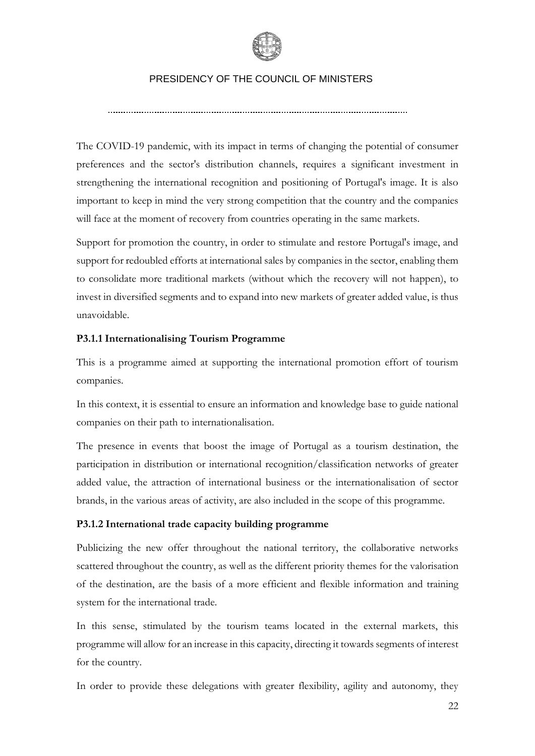

The COVID-19 pandemic, with its impact in terms of changing the potential of consumer preferences and the sector's distribution channels, requires a significant investment in strengthening the international recognition and positioning of Portugal's image. It is also important to keep in mind the very strong competition that the country and the companies will face at the moment of recovery from countries operating in the same markets.

Support for promotion the country, in order to stimulate and restore Portugal's image, and support for redoubled efforts at international sales by companies in the sector, enabling them to consolidate more traditional markets (without which the recovery will not happen), to invest in diversified segments and to expand into new markets of greater added value, is thus unavoidable.

## **P3.1.1 Internationalising Tourism Programme**

This is a programme aimed at supporting the international promotion effort of tourism companies.

In this context, it is essential to ensure an information and knowledge base to guide national companies on their path to internationalisation.

The presence in events that boost the image of Portugal as a tourism destination, the participation in distribution or international recognition/classification networks of greater added value, the attraction of international business or the internationalisation of sector brands, in the various areas of activity, are also included in the scope of this programme.

## **P3.1.2 International trade capacity building programme**

Publicizing the new offer throughout the national territory, the collaborative networks scattered throughout the country, as well as the different priority themes for the valorisation of the destination, are the basis of a more efficient and flexible information and training system for the international trade*.* 

In this sense, stimulated by the tourism teams located in the external markets, this programme will allow for an increase in this capacity, directing it towards segments of interest for the country.

In order to provide these delegations with greater flexibility, agility and autonomy, they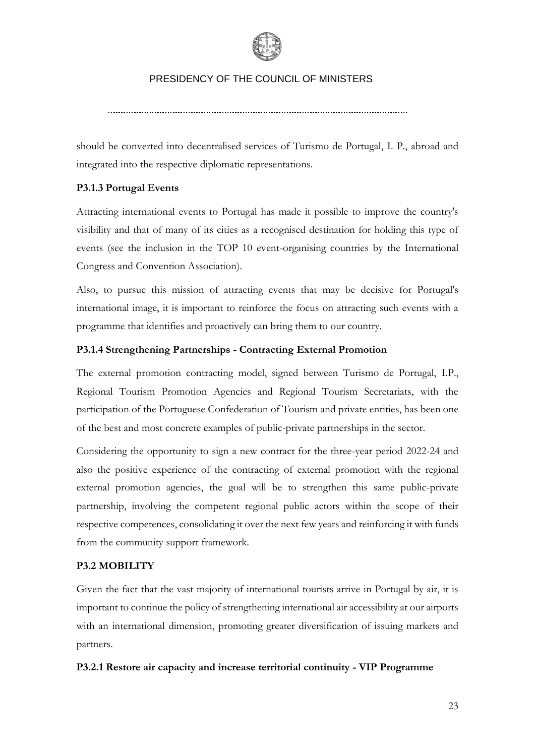

should be converted into decentralised services of Turismo de Portugal, I. P., abroad and integrated into the respective diplomatic representations.

## **P3.1.3 Portugal Events**

Attracting international events to Portugal has made it possible to improve the country's visibility and that of many of its cities as a recognised destination for holding this type of events (see the inclusion in the TOP 10 event-organising countries by the International Congress and Convention Association).

Also, to pursue this mission of attracting events that may be decisive for Portugal's international image, it is important to reinforce the focus on attracting such events with a programme that identifies and proactively can bring them to our country.

## **P3.1.4 Strengthening Partnerships - Contracting External Promotion**

The external promotion contracting model, signed between Turismo de Portugal, I.P., Regional Tourism Promotion Agencies and Regional Tourism Secretariats, with the participation of the Portuguese Confederation of Tourism and private entities, has been one of the best and most concrete examples of public-private partnerships in the sector.

Considering the opportunity to sign a new contract for the three-year period 2022-24 and also the positive experience of the contracting of external promotion with the regional external promotion agencies, the goal will be to strengthen this same public-private partnership, involving the competent regional public actors within the scope of their respective competences, consolidating it over the next few years and reinforcing it with funds from the community support framework.

## **P3.2 MOBILITY**

Given the fact that the vast majority of international tourists arrive in Portugal by air, it is important to continue the policy of strengthening international air accessibility at our airports with an international dimension, promoting greater diversification of issuing markets and partners.

## **P3.2.1 Restore air capacity and increase territorial continuity - VIP Programme**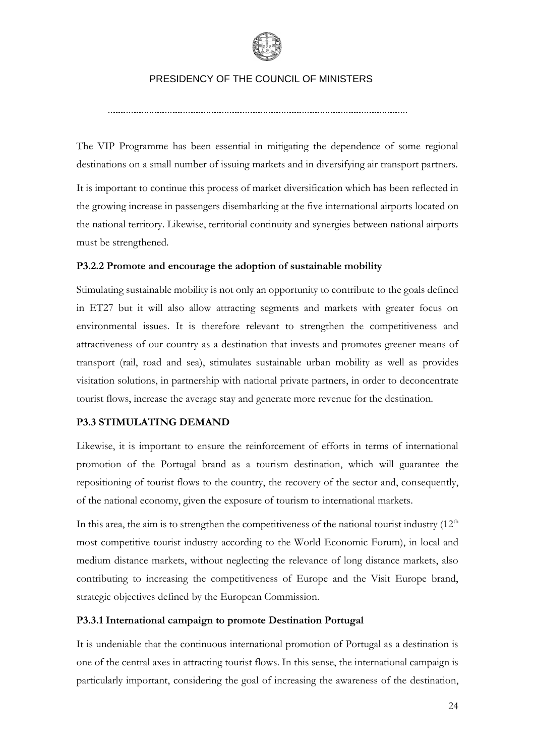

The VIP Programme has been essential in mitigating the dependence of some regional destinations on a small number of issuing markets and in diversifying air transport partners.

It is important to continue this process of market diversification which has been reflected in the growing increase in passengers disembarking at the five international airports located on the national territory. Likewise, territorial continuity and synergies between national airports must be strengthened.

## **P3.2.2 Promote and encourage the adoption of sustainable mobility**

Stimulating sustainable mobility is not only an opportunity to contribute to the goals defined in ET27 but it will also allow attracting segments and markets with greater focus on environmental issues. It is therefore relevant to strengthen the competitiveness and attractiveness of our country as a destination that invests and promotes greener means of transport (rail, road and sea), stimulates sustainable urban mobility as well as provides visitation solutions, in partnership with national private partners, in order to deconcentrate tourist flows, increase the average stay and generate more revenue for the destination.

## **P3.3 STIMULATING DEMAND**

Likewise, it is important to ensure the reinforcement of efforts in terms of international promotion of the Portugal brand as a tourism destination, which will guarantee the repositioning of tourist flows to the country, the recovery of the sector and, consequently, of the national economy, given the exposure of tourism to international markets.

In this area, the aim is to strengthen the competitiveness of the national tourist industry  $(12<sup>th</sup>$ most competitive tourist industry according to the World Economic Forum), in local and medium distance markets, without neglecting the relevance of long distance markets, also contributing to increasing the competitiveness of Europe and the Visit Europe brand, strategic objectives defined by the European Commission.

## **P3.3.1 International campaign to promote Destination Portugal**

It is undeniable that the continuous international promotion of Portugal as a destination is one of the central axes in attracting tourist flows. In this sense, the international campaign is particularly important, considering the goal of increasing the awareness of the destination,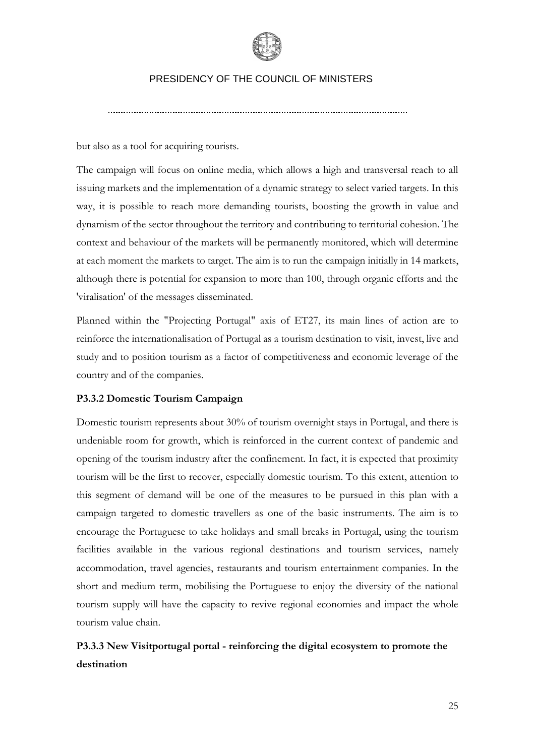

but also as a tool for acquiring tourists.

The campaign will focus on online media, which allows a high and transversal reach to all issuing markets and the implementation of a dynamic strategy to select varied targets. In this way, it is possible to reach more demanding tourists, boosting the growth in value and dynamism of the sector throughout the territory and contributing to territorial cohesion. The context and behaviour of the markets will be permanently monitored, which will determine at each moment the markets to target. The aim is to run the campaign initially in 14 markets, although there is potential for expansion to more than 100, through organic efforts and the 'viralisation' of the messages disseminated.

Planned within the "Projecting Portugal" axis of ET27, its main lines of action are to reinforce the internationalisation of Portugal as a tourism destination to visit, invest, live and study and to position tourism as a factor of competitiveness and economic leverage of the country and of the companies.

#### **P3.3.2 Domestic Tourism Campaign**

Domestic tourism represents about 30% of tourism overnight stays in Portugal, and there is undeniable room for growth, which is reinforced in the current context of pandemic and opening of the tourism industry after the confinement. In fact, it is expected that proximity tourism will be the first to recover, especially domestic tourism. To this extent, attention to this segment of demand will be one of the measures to be pursued in this plan with a campaign targeted to domestic travellers as one of the basic instruments. The aim is to encourage the Portuguese to take holidays and small breaks in Portugal, using the tourism facilities available in the various regional destinations and tourism services, namely accommodation, travel agencies, restaurants and tourism entertainment companies. In the short and medium term, mobilising the Portuguese to enjoy the diversity of the national tourism supply will have the capacity to revive regional economies and impact the whole tourism value chain.

**P3.3.3 New Visitportugal portal - reinforcing the digital ecosystem to promote the destination**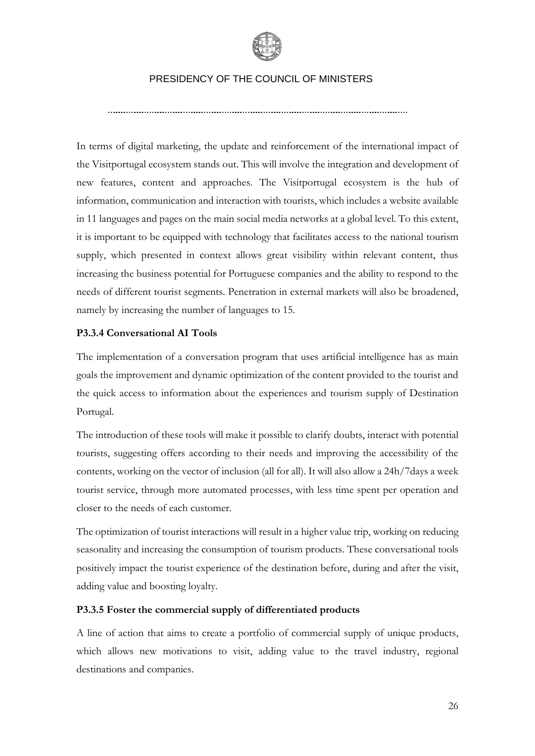

In terms of digital marketing, the update and reinforcement of the international impact of the Visitportugal ecosystem stands out. This will involve the integration and development of new features, content and approaches. The Visitportugal ecosystem is the hub of information, communication and interaction with tourists, which includes a website available in 11 languages and pages on the main social media networks at a global level. To this extent, it is important to be equipped with technology that facilitates access to the national tourism supply, which presented in context allows great visibility within relevant content, thus increasing the business potential for Portuguese companies and the ability to respond to the needs of different tourist segments. Penetration in external markets will also be broadened, namely by increasing the number of languages to 15.

## **P3.3.4 Conversational AI Tools**

The implementation of a conversation program that uses artificial intelligence has as main goals the improvement and dynamic optimization of the content provided to the tourist and the quick access to information about the experiences and tourism supply of Destination Portugal.

The introduction of these tools will make it possible to clarify doubts, interact with potential tourists, suggesting offers according to their needs and improving the accessibility of the contents, working on the vector of inclusion (all for all). It will also allow a 24h/7days a week tourist service, through more automated processes, with less time spent per operation and closer to the needs of each customer.

The optimization of tourist interactions will result in a higher value trip, working on reducing seasonality and increasing the consumption of tourism products. These conversational tools positively impact the tourist experience of the destination before, during and after the visit, adding value and boosting loyalty.

## **P3.3.5 Foster the commercial supply of differentiated products**

A line of action that aims to create a portfolio of commercial supply of unique products, which allows new motivations to visit, adding value to the travel industry, regional destinations and companies.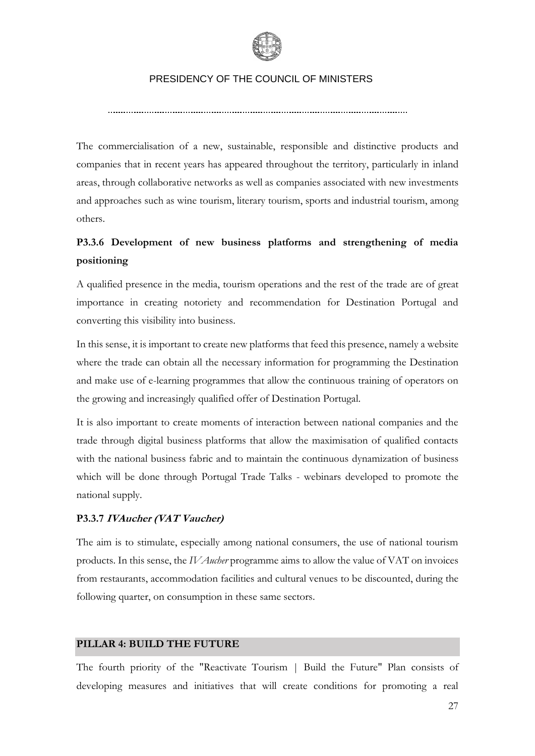

The commercialisation of a new, sustainable, responsible and distinctive products and companies that in recent years has appeared throughout the territory, particularly in inland areas, through collaborative networks as well as companies associated with new investments and approaches such as wine tourism, literary tourism, sports and industrial tourism, among others.

## **P3.3.6 Development of new business platforms and strengthening of media positioning**

A qualified presence in the media, tourism operations and the rest of the trade are of great importance in creating notoriety and recommendation for Destination Portugal and converting this visibility into business.

In this sense, it is important to create new platforms that feed this presence, namely a website where the trade can obtain all the necessary information for programming the Destination and make use of e-learning programmes that allow the continuous training of operators on the growing and increasingly qualified offer of Destination Portugal.

It is also important to create moments of interaction between national companies and the trade through digital business platforms that allow the maximisation of qualified contacts with the national business fabric and to maintain the continuous dynamization of business which will be done through Portugal Trade Talks - webinars developed to promote the national supply.

## **P3.3.7 IVAucher (VAT Vaucher)**

The aim is to stimulate, especially among national consumers, the use of national tourism products. In this sense, the *IVAucher* programme aims to allow the value of VAT on invoices from restaurants, accommodation facilities and cultural venues to be discounted, during the following quarter, on consumption in these same sectors.

## **PILLAR 4: BUILD THE FUTURE**

The fourth priority of the "Reactivate Tourism | Build the Future" Plan consists of developing measures and initiatives that will create conditions for promoting a real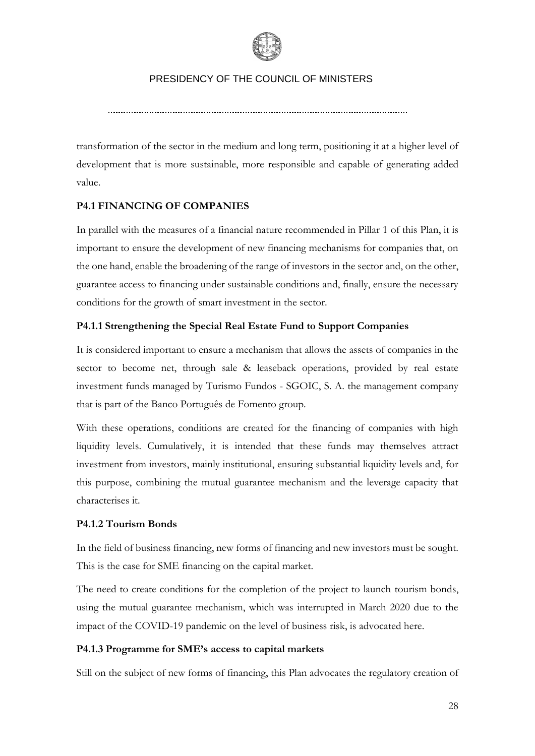

transformation of the sector in the medium and long term, positioning it at a higher level of development that is more sustainable, more responsible and capable of generating added value.

## **P4.1 FINANCING OF COMPANIES**

In parallel with the measures of a financial nature recommended in Pillar 1 of this Plan, it is important to ensure the development of new financing mechanisms for companies that, on the one hand, enable the broadening of the range of investors in the sector and, on the other, guarantee access to financing under sustainable conditions and, finally, ensure the necessary conditions for the growth of smart investment in the sector.

## **P4.1.1 Strengthening the Special Real Estate Fund to Support Companies**

It is considered important to ensure a mechanism that allows the assets of companies in the sector to become net, through sale & leaseback operations, provided by real estate investment funds managed by Turismo Fundos - SGOIC, S. A. the management company that is part of the Banco Português de Fomento group.

With these operations, conditions are created for the financing of companies with high liquidity levels. Cumulatively, it is intended that these funds may themselves attract investment from investors, mainly institutional, ensuring substantial liquidity levels and, for this purpose, combining the mutual guarantee mechanism and the leverage capacity that characterises it.

## **P4.1.2 Tourism Bonds**

In the field of business financing, new forms of financing and new investors must be sought. This is the case for SME financing on the capital market.

The need to create conditions for the completion of the project to launch tourism bonds, using the mutual guarantee mechanism, which was interrupted in March 2020 due to the impact of the COVID-19 pandemic on the level of business risk, is advocated here.

## **P4.1.3 Programme for SME's access to capital markets**

Still on the subject of new forms of financing, this Plan advocates the regulatory creation of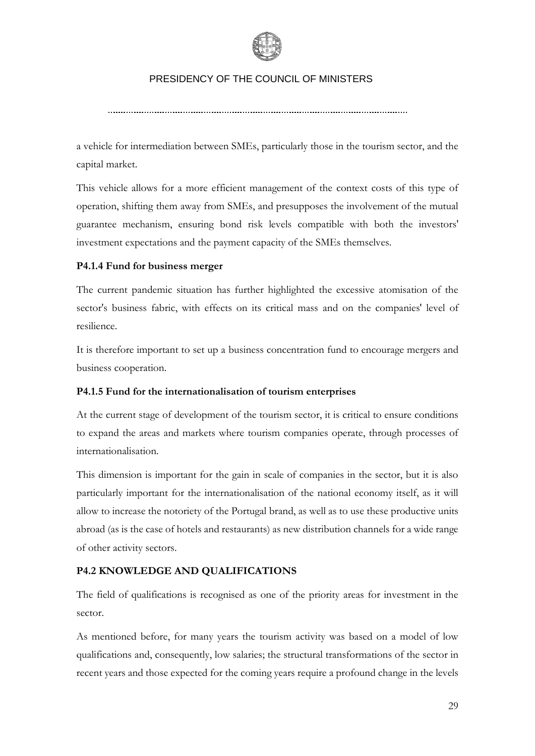

a vehicle for intermediation between SMEs, particularly those in the tourism sector, and the capital market.

This vehicle allows for a more efficient management of the context costs of this type of operation, shifting them away from SMEs, and presupposes the involvement of the mutual guarantee mechanism, ensuring bond risk levels compatible with both the investors' investment expectations and the payment capacity of the SMEs themselves.

## **P4.1.4 Fund for business merger**

The current pandemic situation has further highlighted the excessive atomisation of the sector's business fabric, with effects on its critical mass and on the companies' level of resilience.

It is therefore important to set up a business concentration fund to encourage mergers and business cooperation.

## **P4.1.5 Fund for the internationalisation of tourism enterprises**

At the current stage of development of the tourism sector, it is critical to ensure conditions to expand the areas and markets where tourism companies operate, through processes of internationalisation.

This dimension is important for the gain in scale of companies in the sector, but it is also particularly important for the internationalisation of the national economy itself, as it will allow to increase the notoriety of the Portugal brand, as well as to use these productive units abroad (as is the case of hotels and restaurants) as new distribution channels for a wide range of other activity sectors.

## **P4.2 KNOWLEDGE AND QUALIFICATIONS**

The field of qualifications is recognised as one of the priority areas for investment in the sector.

As mentioned before, for many years the tourism activity was based on a model of low qualifications and, consequently, low salaries; the structural transformations of the sector in recent years and those expected for the coming years require a profound change in the levels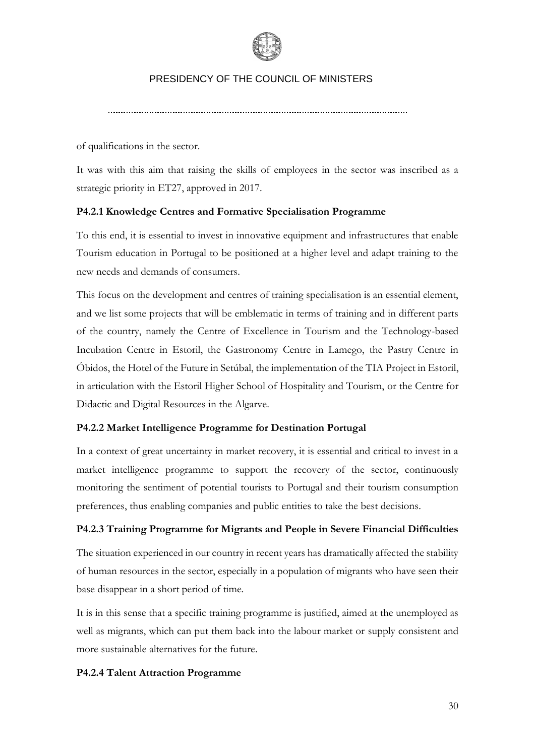

of qualifications in the sector.

It was with this aim that raising the skills of employees in the sector was inscribed as a strategic priority in ET27, approved in 2017.

## **P4.2.1 Knowledge Centres and Formative Specialisation Programme**

To this end, it is essential to invest in innovative equipment and infrastructures that enable Tourism education in Portugal to be positioned at a higher level and adapt training to the new needs and demands of consumers.

This focus on the development and centres of training specialisation is an essential element, and we list some projects that will be emblematic in terms of training and in different parts of the country, namely the Centre of Excellence in Tourism and the Technology-based Incubation Centre in Estoril, the Gastronomy Centre in Lamego, the Pastry Centre in Óbidos, the Hotel of the Future in Setúbal, the implementation of the TIA Project in Estoril, in articulation with the Estoril Higher School of Hospitality and Tourism, or the Centre for Didactic and Digital Resources in the Algarve.

## **P4.2.2 Market Intelligence Programme for Destination Portugal**

In a context of great uncertainty in market recovery, it is essential and critical to invest in a market intelligence programme to support the recovery of the sector, continuously monitoring the sentiment of potential tourists to Portugal and their tourism consumption preferences, thus enabling companies and public entities to take the best decisions.

## **P4.2.3 Training Programme for Migrants and People in Severe Financial Difficulties**

The situation experienced in our country in recent years has dramatically affected the stability of human resources in the sector, especially in a population of migrants who have seen their base disappear in a short period of time.

It is in this sense that a specific training programme is justified, aimed at the unemployed as well as migrants, which can put them back into the labour market or supply consistent and more sustainable alternatives for the future.

## **P4.2.4 Talent Attraction Programme**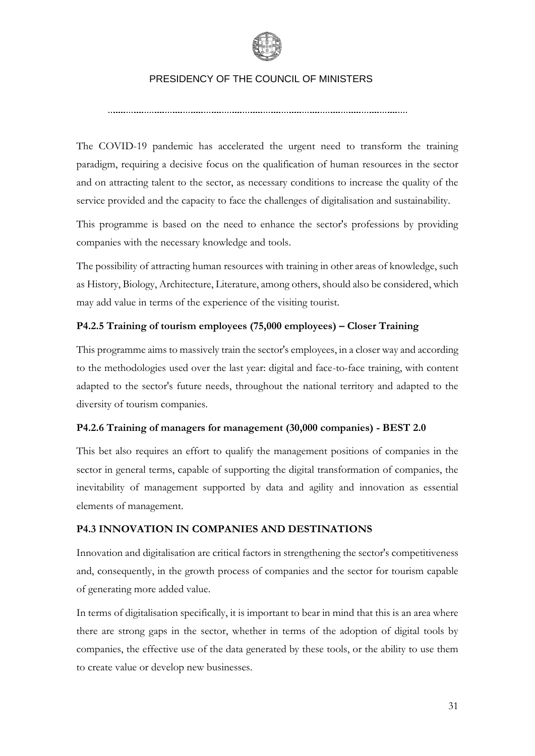

The COVID-19 pandemic has accelerated the urgent need to transform the training paradigm, requiring a decisive focus on the qualification of human resources in the sector and on attracting talent to the sector, as necessary conditions to increase the quality of the service provided and the capacity to face the challenges of digitalisation and sustainability.

This programme is based on the need to enhance the sector's professions by providing companies with the necessary knowledge and tools.

The possibility of attracting human resources with training in other areas of knowledge, such as History, Biology, Architecture, Literature, among others, should also be considered, which may add value in terms of the experience of the visiting tourist.

## **P4.2.5 Training of tourism employees (75,000 employees) – Closer Training**

This programme aims to massively train the sector's employees, in a closer way and according to the methodologies used over the last year: digital and face-to-face training, with content adapted to the sector's future needs, throughout the national territory and adapted to the diversity of tourism companies.

## **P4.2.6 Training of managers for management (30,000 companies) - BEST 2.0**

This bet also requires an effort to qualify the management positions of companies in the sector in general terms, capable of supporting the digital transformation of companies, the inevitability of management supported by data and agility and innovation as essential elements of management.

## **P4.3 INNOVATION IN COMPANIES AND DESTINATIONS**

Innovation and digitalisation are critical factors in strengthening the sector's competitiveness and, consequently, in the growth process of companies and the sector for tourism capable of generating more added value.

In terms of digitalisation specifically, it is important to bear in mind that this is an area where there are strong gaps in the sector, whether in terms of the adoption of digital tools by companies, the effective use of the data generated by these tools, or the ability to use them to create value or develop new businesses.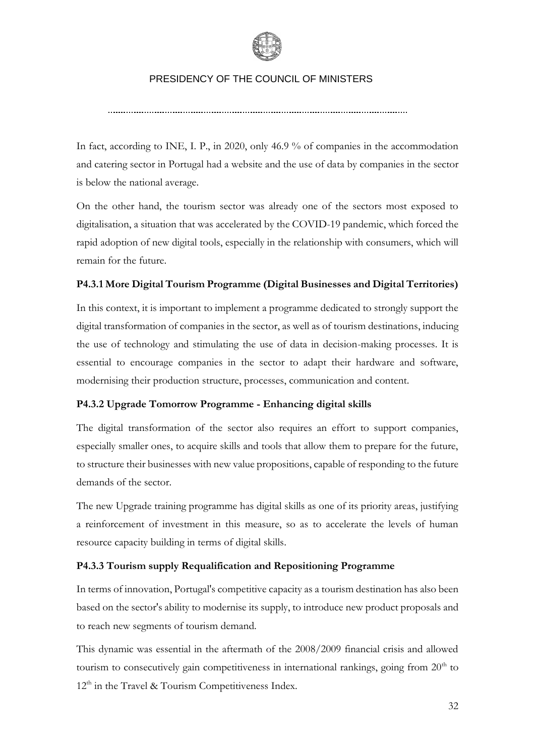

In fact, according to INE, I. P., in 2020, only 46.9 % of companies in the accommodation and catering sector in Portugal had a website and the use of data by companies in the sector is below the national average.

On the other hand, the tourism sector was already one of the sectors most exposed to digitalisation, a situation that was accelerated by the COVID-19 pandemic, which forced the rapid adoption of new digital tools, especially in the relationship with consumers, which will remain for the future.

## **P4.3.1 More Digital Tourism Programme (Digital Businesses and Digital Territories)**

In this context, it is important to implement a programme dedicated to strongly support the digital transformation of companies in the sector, as well as of tourism destinations, inducing the use of technology and stimulating the use of data in decision-making processes. It is essential to encourage companies in the sector to adapt their hardware and software, modernising their production structure, processes, communication and content.

## **P4.3.2 Upgrade Tomorrow Programme - Enhancing digital skills**

The digital transformation of the sector also requires an effort to support companies, especially smaller ones, to acquire skills and tools that allow them to prepare for the future, to structure their businesses with new value propositions, capable of responding to the future demands of the sector.

The new Upgrade training programme has digital skills as one of its priority areas, justifying a reinforcement of investment in this measure, so as to accelerate the levels of human resource capacity building in terms of digital skills.

## **P4.3.3 Tourism supply Requalification and Repositioning Programme**

In terms of innovation, Portugal's competitive capacity as a tourism destination has also been based on the sector's ability to modernise its supply, to introduce new product proposals and to reach new segments of tourism demand.

This dynamic was essential in the aftermath of the 2008/2009 financial crisis and allowed tourism to consecutively gain competitiveness in international rankings, going from  $20<sup>th</sup>$  to  $12<sup>th</sup>$  in the Travel & Tourism Competitiveness Index.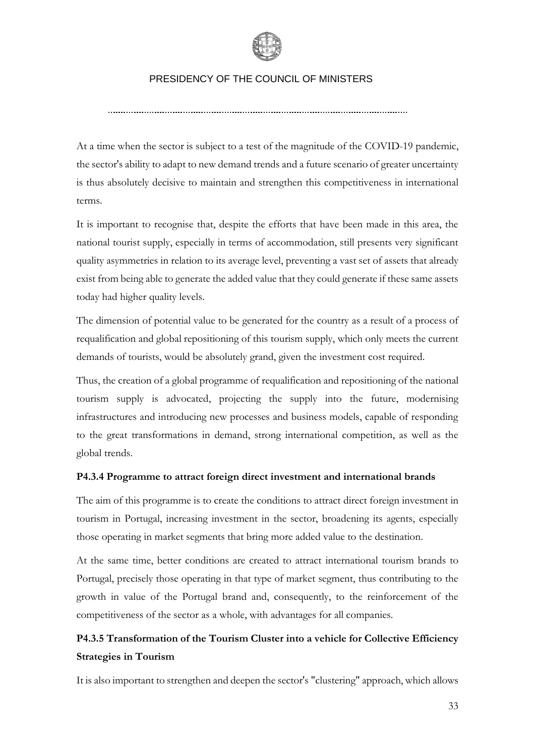

At a time when the sector is subject to a test of the magnitude of the COVID-19 pandemic, the sector's ability to adapt to new demand trends and a future scenario of greater uncertainty is thus absolutely decisive to maintain and strengthen this competitiveness in international terms.

It is important to recognise that, despite the efforts that have been made in this area, the national tourist supply, especially in terms of accommodation, still presents very significant quality asymmetries in relation to its average level, preventing a vast set of assets that already exist from being able to generate the added value that they could generate if these same assets today had higher quality levels.

The dimension of potential value to be generated for the country as a result of a process of requalification and global repositioning of this tourism supply, which only meets the current demands of tourists, would be absolutely grand, given the investment cost required.

Thus, the creation of a global programme of requalification and repositioning of the national tourism supply is advocated, projecting the supply into the future, modernising infrastructures and introducing new processes and business models, capable of responding to the great transformations in demand, strong international competition, as well as the global trends.

## **P4.3.4 Programme to attract foreign direct investment and international brands**

The aim of this programme is to create the conditions to attract direct foreign investment in tourism in Portugal, increasing investment in the sector, broadening its agents, especially those operating in market segments that bring more added value to the destination.

At the same time, better conditions are created to attract international tourism brands to Portugal, precisely those operating in that type of market segment, thus contributing to the growth in value of the Portugal brand and, consequently, to the reinforcement of the competitiveness of the sector as a whole, with advantages for all companies.

## **P4.3.5 Transformation of the Tourism Cluster into a vehicle for Collective Efficiency Strategies in Tourism**

It is also important to strengthen and deepen the sector's "clustering" approach, which allows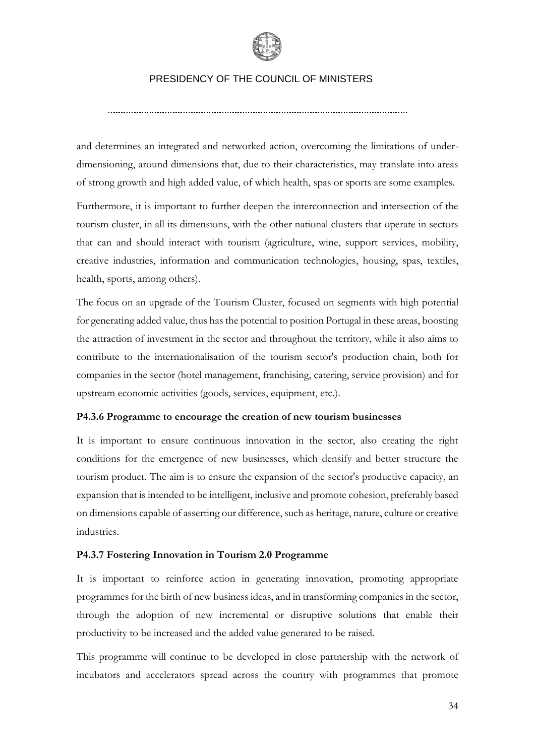

and determines an integrated and networked action, overcoming the limitations of underdimensioning, around dimensions that, due to their characteristics, may translate into areas of strong growth and high added value, of which health, spas or sports are some examples.

Furthermore, it is important to further deepen the interconnection and intersection of the tourism cluster, in all its dimensions, with the other national clusters that operate in sectors that can and should interact with tourism (agriculture, wine, support services, mobility, creative industries, information and communication technologies, housing, spas, textiles, health, sports, among others).

The focus on an upgrade of the Tourism Cluster, focused on segments with high potential for generating added value, thus has the potential to position Portugal in these areas, boosting the attraction of investment in the sector and throughout the territory, while it also aims to contribute to the internationalisation of the tourism sector's production chain, both for companies in the sector (hotel management, franchising, catering, service provision) and for upstream economic activities (goods, services, equipment, etc.).

## **P4.3.6 Programme to encourage the creation of new tourism businesses**

It is important to ensure continuous innovation in the sector, also creating the right conditions for the emergence of new businesses, which densify and better structure the tourism product. The aim is to ensure the expansion of the sector's productive capacity, an expansion that is intended to be intelligent, inclusive and promote cohesion, preferably based on dimensions capable of asserting our difference, such as heritage, nature, culture or creative industries.

#### **P4.3.7 Fostering Innovation in Tourism 2.0 Programme**

It is important to reinforce action in generating innovation, promoting appropriate programmes for the birth of new business ideas, and in transforming companies in the sector, through the adoption of new incremental or disruptive solutions that enable their productivity to be increased and the added value generated to be raised.

This programme will continue to be developed in close partnership with the network of incubators and accelerators spread across the country with programmes that promote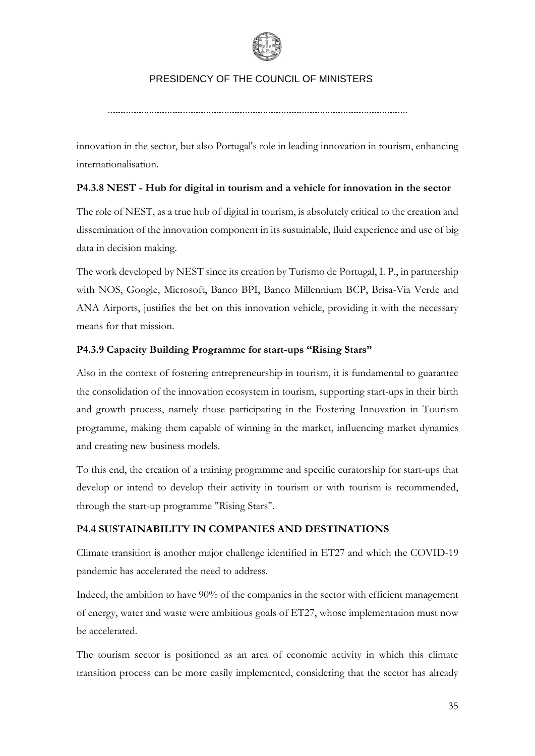

innovation in the sector, but also Portugal's role in leading innovation in tourism, enhancing internationalisation.

## **P4.3.8 NEST - Hub for digital in tourism and a vehicle for innovation in the sector**

The role of NEST, as a true hub of digital in tourism, is absolutely critical to the creation and dissemination of the innovation component in its sustainable, fluid experience and use of big data in decision making.

The work developed by NEST since its creation by Turismo de Portugal, I. P., in partnership with NOS, Google, Microsoft, Banco BPI, Banco Millennium BCP, Brisa-Via Verde and ANA Airports, justifies the bet on this innovation vehicle, providing it with the necessary means for that mission.

## **P4.3.9 Capacity Building Programme for start-ups "Rising Stars"**

Also in the context of fostering entrepreneurship in tourism, it is fundamental to guarantee the consolidation of the innovation ecosystem in tourism, supporting start-ups in their birth and growth process, namely those participating in the Fostering Innovation in Tourism programme, making them capable of winning in the market, influencing market dynamics and creating new business models.

To this end, the creation of a training programme and specific curatorship for start-ups that develop or intend to develop their activity in tourism or with tourism is recommended, through the start-up programme "Rising Stars".

## **P4.4 SUSTAINABILITY IN COMPANIES AND DESTINATIONS**

Climate transition is another major challenge identified in ET27 and which the COVID-19 pandemic has accelerated the need to address.

Indeed, the ambition to have 90% of the companies in the sector with efficient management of energy, water and waste were ambitious goals of ET27, whose implementation must now be accelerated.

The tourism sector is positioned as an area of economic activity in which this climate transition process can be more easily implemented, considering that the sector has already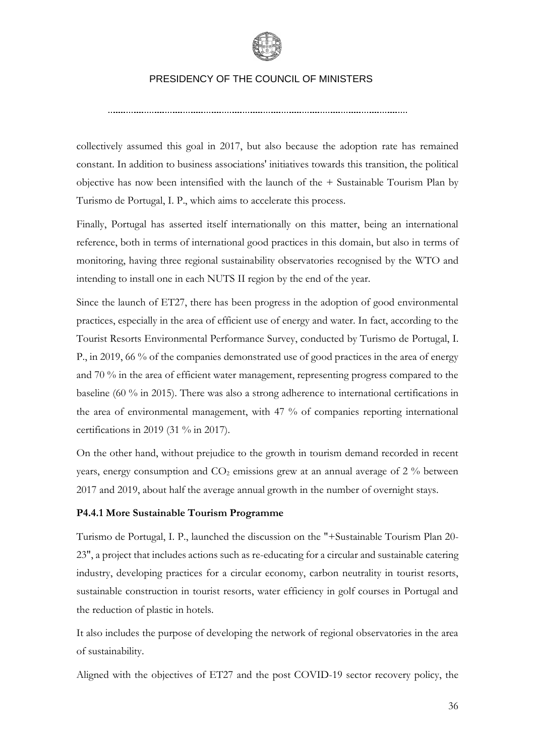

collectively assumed this goal in 2017, but also because the adoption rate has remained constant. In addition to business associations' initiatives towards this transition, the political objective has now been intensified with the launch of the + Sustainable Tourism Plan by Turismo de Portugal, I. P., which aims to accelerate this process.

Finally, Portugal has asserted itself internationally on this matter, being an international reference, both in terms of international good practices in this domain, but also in terms of monitoring, having three regional sustainability observatories recognised by the WTO and intending to install one in each NUTS II region by the end of the year.

Since the launch of ET27, there has been progress in the adoption of good environmental practices, especially in the area of efficient use of energy and water. In fact, according to the Tourist Resorts Environmental Performance Survey, conducted by Turismo de Portugal, I. P., in 2019, 66 % of the companies demonstrated use of good practices in the area of energy and 70 % in the area of efficient water management, representing progress compared to the baseline (60 % in 2015). There was also a strong adherence to international certifications in the area of environmental management, with 47 % of companies reporting international certifications in 2019 (31 % in 2017).

On the other hand, without prejudice to the growth in tourism demand recorded in recent years, energy consumption and  $CO<sub>2</sub>$  emissions grew at an annual average of 2 % between 2017 and 2019, about half the average annual growth in the number of overnight stays.

#### **P4.4.1 More Sustainable Tourism Programme**

Turismo de Portugal, I. P., launched the discussion on the "+Sustainable Tourism Plan 20- 23", a project that includes actions such as re-educating for a circular and sustainable catering industry, developing practices for a circular economy, carbon neutrality in tourist resorts, sustainable construction in tourist resorts, water efficiency in golf courses in Portugal and the reduction of plastic in hotels.

It also includes the purpose of developing the network of regional observatories in the area of sustainability.

Aligned with the objectives of ET27 and the post COVID-19 sector recovery policy, the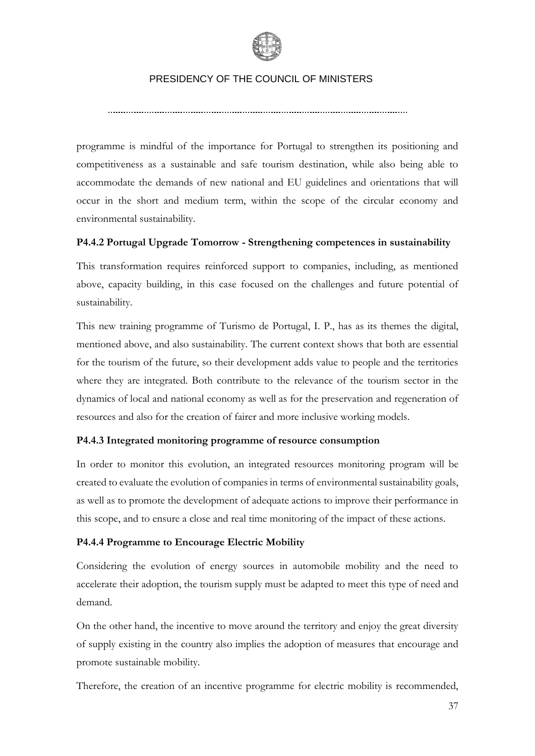

programme is mindful of the importance for Portugal to strengthen its positioning and competitiveness as a sustainable and safe tourism destination, while also being able to accommodate the demands of new national and EU guidelines and orientations that will occur in the short and medium term, within the scope of the circular economy and environmental sustainability.

## **P4.4.2 Portugal Upgrade Tomorrow - Strengthening competences in sustainability**

This transformation requires reinforced support to companies, including, as mentioned above, capacity building, in this case focused on the challenges and future potential of sustainability.

This new training programme of Turismo de Portugal, I. P., has as its themes the digital, mentioned above, and also sustainability. The current context shows that both are essential for the tourism of the future, so their development adds value to people and the territories where they are integrated. Both contribute to the relevance of the tourism sector in the dynamics of local and national economy as well as for the preservation and regeneration of resources and also for the creation of fairer and more inclusive working models.

## **P4.4.3 Integrated monitoring programme of resource consumption**

In order to monitor this evolution, an integrated resources monitoring program will be created to evaluate the evolution of companies in terms of environmental sustainability goals, as well as to promote the development of adequate actions to improve their performance in this scope, and to ensure a close and real time monitoring of the impact of these actions.

## **P4.4.4 Programme to Encourage Electric Mobility**

Considering the evolution of energy sources in automobile mobility and the need to accelerate their adoption, the tourism supply must be adapted to meet this type of need and demand.

On the other hand, the incentive to move around the territory and enjoy the great diversity of supply existing in the country also implies the adoption of measures that encourage and promote sustainable mobility.

Therefore, the creation of an incentive programme for electric mobility is recommended,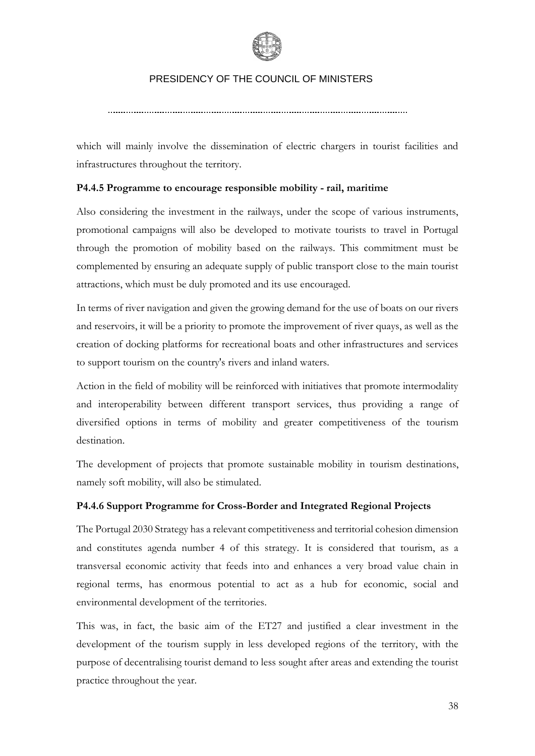

which will mainly involve the dissemination of electric chargers in tourist facilities and infrastructures throughout the territory.

## **P4.4.5 Programme to encourage responsible mobility - rail, maritime**

Also considering the investment in the railways, under the scope of various instruments, promotional campaigns will also be developed to motivate tourists to travel in Portugal through the promotion of mobility based on the railways. This commitment must be complemented by ensuring an adequate supply of public transport close to the main tourist attractions, which must be duly promoted and its use encouraged.

In terms of river navigation and given the growing demand for the use of boats on our rivers and reservoirs, it will be a priority to promote the improvement of river quays, as well as the creation of docking platforms for recreational boats and other infrastructures and services to support tourism on the country's rivers and inland waters.

Action in the field of mobility will be reinforced with initiatives that promote intermodality and interoperability between different transport services, thus providing a range of diversified options in terms of mobility and greater competitiveness of the tourism destination.

The development of projects that promote sustainable mobility in tourism destinations, namely soft mobility, will also be stimulated.

## **P4.4.6 Support Programme for Cross-Border and Integrated Regional Projects**

The Portugal 2030 Strategy has a relevant competitiveness and territorial cohesion dimension and constitutes agenda number 4 of this strategy. It is considered that tourism, as a transversal economic activity that feeds into and enhances a very broad value chain in regional terms, has enormous potential to act as a hub for economic, social and environmental development of the territories.

This was, in fact, the basic aim of the ET27 and justified a clear investment in the development of the tourism supply in less developed regions of the territory, with the purpose of decentralising tourist demand to less sought after areas and extending the tourist practice throughout the year.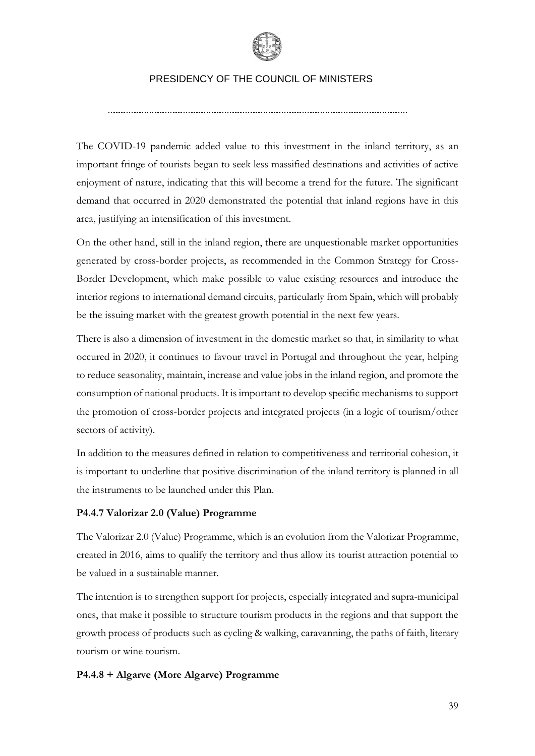

The COVID-19 pandemic added value to this investment in the inland territory, as an important fringe of tourists began to seek less massified destinations and activities of active enjoyment of nature, indicating that this will become a trend for the future. The significant demand that occurred in 2020 demonstrated the potential that inland regions have in this area, justifying an intensification of this investment.

On the other hand, still in the inland region, there are unquestionable market opportunities generated by cross-border projects, as recommended in the Common Strategy for Cross-Border Development, which make possible to value existing resources and introduce the interior regions to international demand circuits, particularly from Spain, which will probably be the issuing market with the greatest growth potential in the next few years.

There is also a dimension of investment in the domestic market so that, in similarity to what occured in 2020, it continues to favour travel in Portugal and throughout the year, helping to reduce seasonality, maintain, increase and value jobs in the inland region, and promote the consumption of national products. It is important to develop specific mechanisms to support the promotion of cross-border projects and integrated projects (in a logic of tourism/other sectors of activity).

In addition to the measures defined in relation to competitiveness and territorial cohesion, it is important to underline that positive discrimination of the inland territory is planned in all the instruments to be launched under this Plan.

## **P4.4.7 Valorizar 2.0 (Value) Programme**

The Valorizar 2.0 (Value) Programme, which is an evolution from the Valorizar Programme, created in 2016, aims to qualify the territory and thus allow its tourist attraction potential to be valued in a sustainable manner.

The intention is to strengthen support for projects, especially integrated and supra-municipal ones, that make it possible to structure tourism products in the regions and that support the growth process of products such as cycling & walking, caravanning, the paths of faith, literary tourism or wine tourism.

#### **P4.4.8 + Algarve (More Algarve) Programme**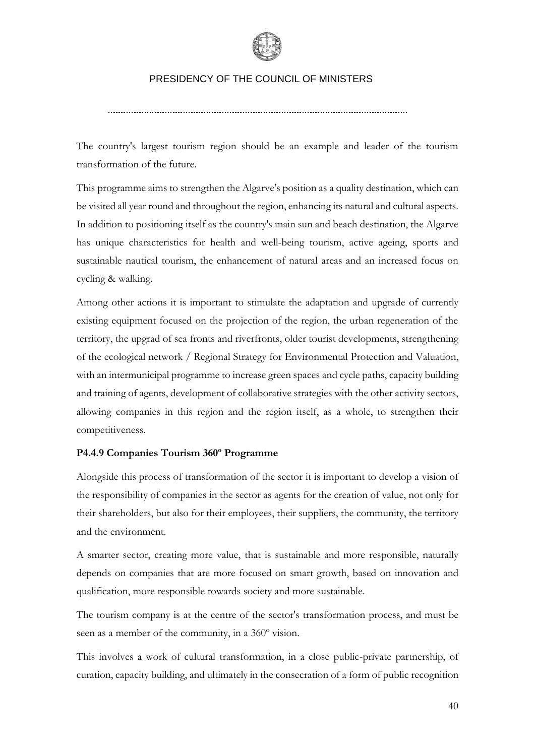

The country's largest tourism region should be an example and leader of the tourism transformation of the future.

This programme aims to strengthen the Algarve's position as a quality destination, which can be visited all year round and throughout the region, enhancing its natural and cultural aspects. In addition to positioning itself as the country's main sun and beach destination, the Algarve has unique characteristics for health and well-being tourism, active ageing, sports and sustainable nautical tourism, the enhancement of natural areas and an increased focus on cycling & walking.

Among other actions it is important to stimulate the adaptation and upgrade of currently existing equipment focused on the projection of the region, the urban regeneration of the territory, the upgrad of sea fronts and riverfronts, older tourist developments, strengthening of the ecological network / Regional Strategy for Environmental Protection and Valuation, with an intermunicipal programme to increase green spaces and cycle paths, capacity building and training of agents, development of collaborative strategies with the other activity sectors, allowing companies in this region and the region itself, as a whole, to strengthen their competitiveness.

## **P4.4.9 Companies Tourism 360º Programme**

Alongside this process of transformation of the sector it is important to develop a vision of the responsibility of companies in the sector as agents for the creation of value, not only for their shareholders, but also for their employees, their suppliers, the community, the territory and the environment.

A smarter sector, creating more value, that is sustainable and more responsible, naturally depends on companies that are more focused on smart growth, based on innovation and qualification, more responsible towards society and more sustainable.

The tourism company is at the centre of the sector's transformation process, and must be seen as a member of the community, in a 360º vision.

This involves a work of cultural transformation, in a close public-private partnership, of curation, capacity building, and ultimately in the consecration of a form of public recognition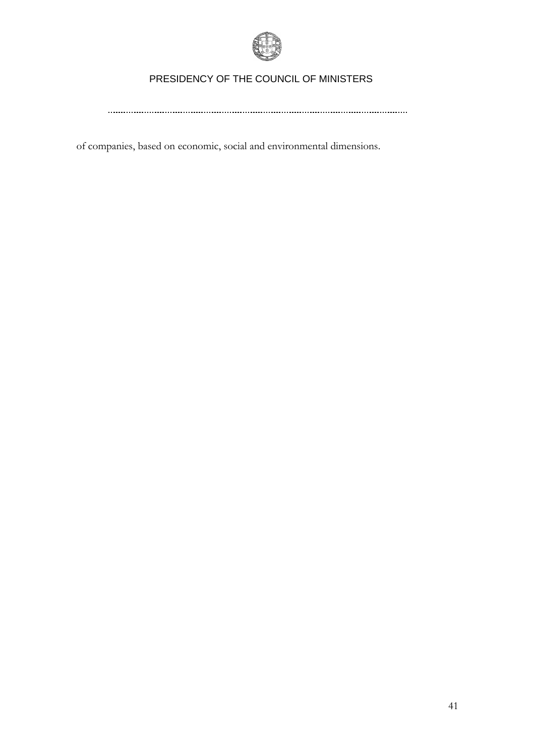

of companies, based on economic, social and environmental dimensions.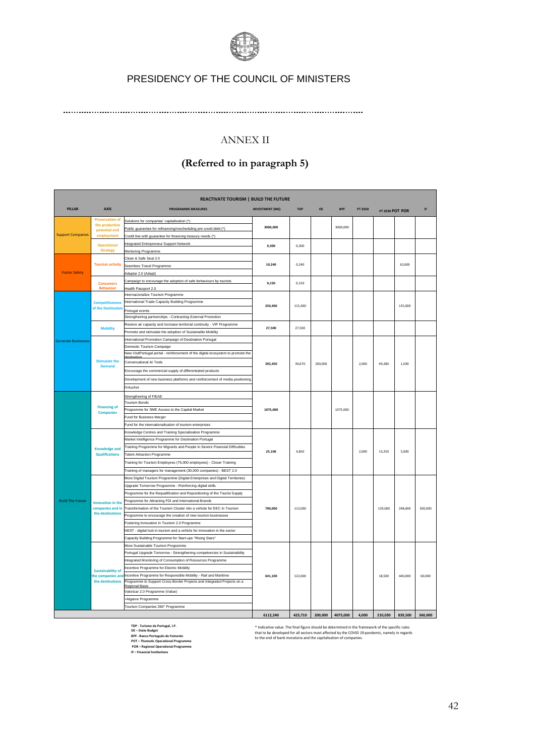

## ANNEX II

## **(Referred to in paragraph 5)**

|                                       |                                              | <b>REACTIVATE TOURISM   BUILD THE FUTURE</b>                                                                  |                        |            |         |            |         |                 |         |         |  |
|---------------------------------------|----------------------------------------------|---------------------------------------------------------------------------------------------------------------|------------------------|------------|---------|------------|---------|-----------------|---------|---------|--|
| <b>PILLAR</b>                         | <b>AXIS</b>                                  | <b>PROGRAMME MEASURES</b>                                                                                     | <b>INVESTMENT (M€)</b> | <b>TDP</b> | OE      | <b>BPF</b> | PT 2020 | PT 2030 POT POR |         | IF      |  |
|                                       | <b>Preservation of</b>                       | Solutions for companies' capitalisation (*)                                                                   |                        |            |         |            |         |                 |         |         |  |
|                                       | the productive<br>potential and              | Public guarantee for refinancing/rescheduling pre-covid debt (*)                                              | 3000.000               |            |         | 3000,000   |         |                 |         |         |  |
| <b>Support Companies</b>              | employment                                   | Credit line with guarantee for financing treasury needs (*)                                                   |                        |            |         |            |         |                 |         |         |  |
|                                       | <b>Operational</b>                           | Integrated Entrepreneur Support Network                                                                       | 0.300                  | 0.300      |         |            |         |                 |         |         |  |
|                                       | <b>Strategy</b>                              | Mentoring Programme                                                                                           |                        |            |         |            |         |                 |         |         |  |
|                                       |                                              | Clean & Safe Seal 2.0                                                                                         |                        |            |         |            |         |                 |         |         |  |
|                                       | <b>Tourism activity</b>                      | Seamless Travel Programme                                                                                     | 10,240                 | 0.240      |         |            |         |                 | 10,000  |         |  |
| <b>Foster Safety</b>                  |                                              | Adaptar 2.0 (Adapt)                                                                                           |                        |            |         |            |         |                 |         |         |  |
|                                       | <b>Consumers</b>                             | Campaign to encourage the adoption of safe behaviours by tourists                                             | 0.150                  | 0.150      |         |            |         |                 |         |         |  |
|                                       | <b>Behaviour</b>                             | lealth Passport 2.0                                                                                           |                        |            |         |            |         |                 |         |         |  |
|                                       |                                              | Internacionalize Tourism Programme                                                                            |                        |            |         |            |         |                 |         |         |  |
|                                       | <b>Competitiveness</b><br>of the Destination | International Trade Capacity Building Programme                                                               | 250,400                | 115,400    |         |            |         |                 | 135,000 |         |  |
|                                       |                                              | Portugal events                                                                                               |                        |            |         |            |         |                 |         |         |  |
|                                       |                                              | Strengthening partnerships - Contracting External Promotion                                                   |                        |            |         |            |         |                 |         |         |  |
|                                       | <b>Mobility</b>                              | Restore air capacity and increase territorial continuity - VIP Programme                                      | 27,500                 | 27.500     |         |            |         |                 |         |         |  |
|                                       |                                              | Promote and stimulate the adoption of Sustainable Mobility                                                    |                        |            |         |            |         |                 |         |         |  |
| <b>Generate Businesses</b>            |                                              | International Promotion Campaign of Destination Portugal                                                      |                        |            |         |            |         |                 |         |         |  |
|                                       |                                              | Domestic Tourism Campaign<br>New VisitPortugal portal - reinforcement of the digital ecosystem to promote the |                        |            |         |            | 2.000   | 49.280          | 1.500   |         |  |
| <b>Stimulate the</b><br><b>Demand</b> |                                              |                                                                                                               | 292.450                |            |         |            |         |                 |         |         |  |
|                                       |                                              | Conversational AI Tools                                                                                       |                        | 39.670     | 200,000 |            |         |                 |         |         |  |
|                                       |                                              | Encourage the commercial supply of differentiated products                                                    |                        |            |         |            |         |                 |         |         |  |
|                                       |                                              | Development of new business platforms and reinforcement of media positioning                                  |                        |            |         |            |         |                 |         |         |  |
|                                       |                                              | VAucher                                                                                                       |                        |            |         |            |         |                 |         |         |  |
|                                       |                                              | Strengthening of FIEAE                                                                                        | 1075.000               |            |         |            |         |                 |         |         |  |
|                                       | <b>Financing of</b><br><b>Companies</b>      | <b>Tourism Bonds</b>                                                                                          |                        |            |         |            |         |                 |         |         |  |
|                                       |                                              | Programme for SME Access to the Capital Market                                                                |                        |            |         | 1075,000   |         |                 |         |         |  |
|                                       |                                              | Fund for Business Merger                                                                                      |                        |            |         |            |         |                 |         |         |  |
|                                       |                                              | Fund for the internationalisation of tourism enterprises                                                      |                        |            |         |            |         |                 |         |         |  |
|                                       |                                              | Knowledge Centres and Training Specialisation Programme                                                       |                        |            |         |            |         |                 |         |         |  |
|                                       |                                              | Market Intelligence Programme for Destination Portugal                                                        |                        |            |         |            |         |                 |         |         |  |
|                                       | <b>Knowledge and</b>                         | Training Programme for Migrants and People in Severe Financial Difficulties                                   | 25,100                 | 4,850      |         |            | 2.000   | 13.250          | 5,000   |         |  |
|                                       | <b>Qualifications</b>                        | <b>Talent Attraction Programme</b>                                                                            |                        |            |         |            |         |                 |         |         |  |
|                                       |                                              | Training for Tourism Employees (75,000 employees) - Closer Training                                           |                        |            |         |            |         |                 |         |         |  |
|                                       |                                              | Training of managers for management (30,000 companies) - BEST 2.0                                             |                        |            |         |            |         |                 |         |         |  |
|                                       |                                              | More Digital Tourism Programme (Digital Enterprises and Digital Territories)                                  |                        |            |         |            |         |                 |         |         |  |
|                                       |                                              | Upgrade Tomorrow Programme - Reinforcing digital skills                                                       |                        |            |         |            |         |                 |         |         |  |
|                                       |                                              | Programme for the Requalification and Repositioning of the Tourist Supply                                     |                        |            |         |            |         |                 |         |         |  |
| <b>Build The Future</b>               | <b>Innovation</b> in the                     | Programme for Attracting FDI and International Brands                                                         |                        |            |         |            |         |                 |         |         |  |
|                                       | companies and in                             | Transformation of the Tourism Cluster into a vehicle for EEC in Tourism                                       | 790,000                | 113,000    |         |            |         | 129,000         | 248,000 | 300,000 |  |
|                                       | the destinations                             | Programme to encourage the creation of new tourism businesses                                                 |                        |            |         |            |         |                 |         |         |  |
|                                       |                                              | ostering Innovation in Tourism 2.0 Programme                                                                  |                        |            |         |            |         |                 |         |         |  |
|                                       |                                              | NEST - digital hub in tourism and a vehicle for innovation in the sector                                      |                        |            |         |            |         |                 |         |         |  |
|                                       |                                              | Capacity Building Programme for Start-ups "Rising Stars"                                                      |                        |            |         |            |         |                 |         |         |  |
|                                       |                                              | More Sustainable Tourism Programme                                                                            |                        |            |         |            |         |                 |         |         |  |
|                                       |                                              | Portugal Upgrade Tomorrow - Strengthening competencies in Sustainability                                      |                        |            |         |            |         |                 |         |         |  |
|                                       |                                              | ntegrated Monitoring of Consumption of Resources Programme                                                    |                        |            |         |            |         |                 |         |         |  |
|                                       | <b>Sustainability of</b>                     | Incentive Programme for Electric Mobility                                                                     |                        |            |         |            |         |                 |         |         |  |
|                                       | the companies and<br>the destinations        | Incentive Programme for Responsible Mobility - Rail and Maritime                                              | 641,100                | 122,600    |         |            |         | 18,500          | 440,000 | 60,000  |  |
|                                       |                                              | Programme to Support Cross-Border Projects and Integrated Projects on a<br>Regional Basi                      |                        |            |         |            |         |                 |         |         |  |
|                                       |                                              | Valorizar 2.0 Programme (Value)                                                                               |                        |            |         |            |         |                 |         |         |  |
|                                       |                                              | Algarve Programme                                                                                             |                        |            |         |            |         |                 |         |         |  |
|                                       |                                              | Tourism Companies 360° Programme                                                                              |                        |            |         |            |         |                 |         |         |  |
|                                       |                                              |                                                                                                               | 6112.240               | 423.710    | 200,000 | 4075.000   | 4.000   | 210.030         | 839,500 | 360,000 |  |

TDP - Turismo de Portugal, I.P.<br>OE – State Budget<br>BPF - Banco Português de Fomento<br>POT – Thematic Operational Programme<br>POR – Regional Operational Programme<br>IF – Financial Institutions

t Indicative value. The final figure should be determined in the framework of the specific rules<br>that to be developed for all sectors most affected by the COVID 19 pandemic, namely in regards<br>to the end of bank moratoria a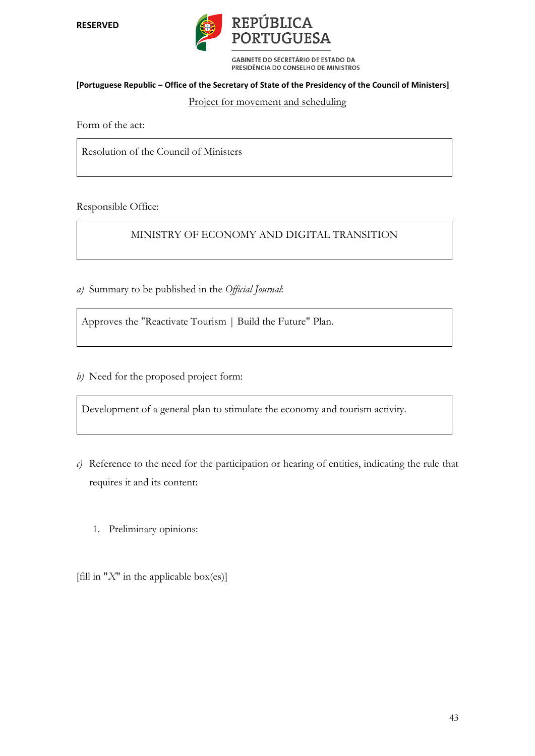**RESERVED** 



GABINETE DO SECRETÁRIO DE ESTADO DA PRESIDÊNCIA DO CONSELHO DE MINISTROS

#### **[Portuguese Republic – Office of the Secretary of State of the Presidency of the Council of Ministers]**

#### Project for movement and scheduling

Form of the act:

Resolution of the Council of Ministers

Responsible Office:

MINISTRY OF ECONOMY AND DIGITAL TRANSITION

*a)* Summary to be published in the *Official Journal*:

Approves the "Reactivate Tourism | Build the Future" Plan.

*b)* Need for the proposed project form:

Development of a general plan to stimulate the economy and tourism activity.

- *c)* Reference to the need for the participation or hearing of entities, indicating the rule that requires it and its content:
	- 1. Preliminary opinions:

[fill in " $X$ " in the applicable box(es)]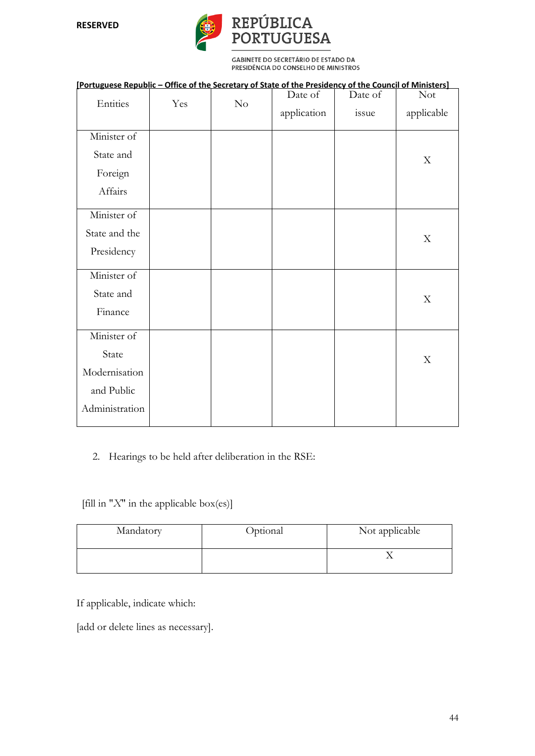

| [Portuguese Republic - Office of the Secretary of State of the Presidency of the Council of Ministers] |     |          |             |         |                           |
|--------------------------------------------------------------------------------------------------------|-----|----------|-------------|---------|---------------------------|
|                                                                                                        |     |          | Date of     | Date of | <b>Not</b>                |
| Entities                                                                                               | Yes | $\rm No$ | application | issue   | applicable                |
| Minister of                                                                                            |     |          |             |         |                           |
| State and                                                                                              |     |          |             |         | X                         |
| Foreign                                                                                                |     |          |             |         |                           |
| Affairs                                                                                                |     |          |             |         |                           |
| Minister of                                                                                            |     |          |             |         |                           |
| State and the                                                                                          |     |          |             |         | X                         |
| Presidency                                                                                             |     |          |             |         |                           |
| Minister of                                                                                            |     |          |             |         |                           |
| State and                                                                                              |     |          |             |         | X                         |
| Finance                                                                                                |     |          |             |         |                           |
| Minister of                                                                                            |     |          |             |         |                           |
| State                                                                                                  |     |          |             |         | $\boldsymbol{\mathrm{X}}$ |
| Modernisation                                                                                          |     |          |             |         |                           |
| and Public                                                                                             |     |          |             |         |                           |
| Administration                                                                                         |     |          |             |         |                           |
|                                                                                                        |     |          |             |         |                           |

## 2. Hearings to be held after deliberation in the RSE:

[fill in "*X*" in the applicable box(es)]

| Mandatory | Optional | Not applicable |
|-----------|----------|----------------|
|           |          |                |

If applicable, indicate which:

[add or delete lines as necessary].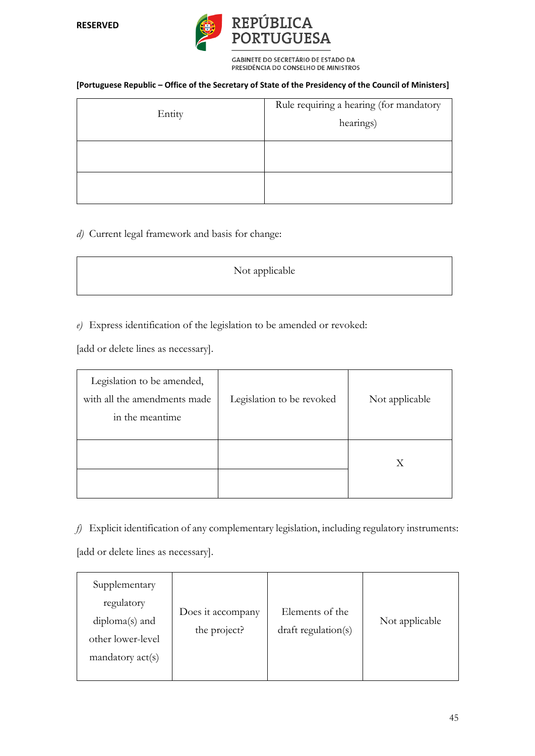

#### **[Portuguese Republic – Office of the Secretary of State of the Presidency of the Council of Ministers]**

| Entity | Rule requiring a hearing (for mandatory<br>hearings) |
|--------|------------------------------------------------------|
|        |                                                      |
|        |                                                      |

## *d)* Current legal framework and basis for change:

| Not applicable |  |
|----------------|--|
|                |  |

*e)* Express identification of the legislation to be amended or revoked:

[add or delete lines as necessary].

| Legislation to be amended,<br>with all the amendments made<br>in the meantime | Legislation to be revoked | Not applicable |
|-------------------------------------------------------------------------------|---------------------------|----------------|
|                                                                               |                           | Χ              |

*f)* Explicit identification of any complementary legislation, including regulatory instruments:

[add or delete lines as necessary].

| Supplementary<br>regulatory<br>$diploma(s)$ and<br>other lower-level<br>$m$ andatory $act(s)$ | Does it accompany<br>the project? | Elements of the<br>draft regulation(s) | Not applicable |
|-----------------------------------------------------------------------------------------------|-----------------------------------|----------------------------------------|----------------|
|-----------------------------------------------------------------------------------------------|-----------------------------------|----------------------------------------|----------------|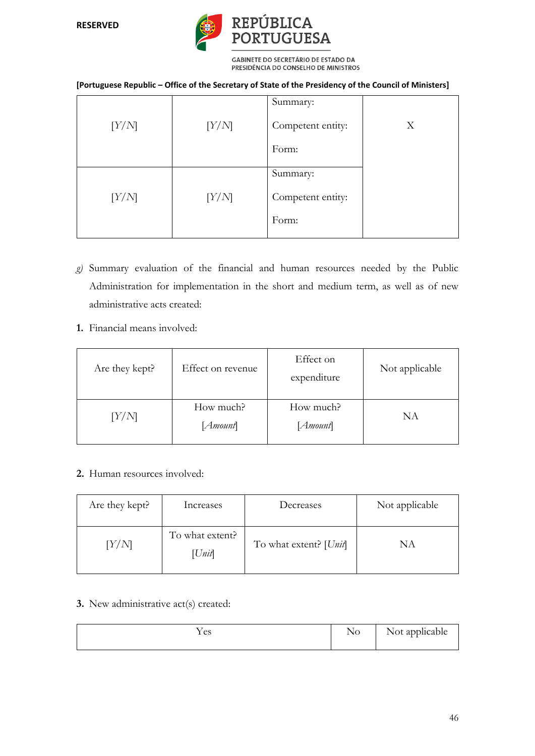# REPÚBLICA<br>PORTUGUESA

**GABINETE DO SECRETÁRIO DE ESTADO DA** PRESIDÊNCIA DO CONSELHO DE MINISTROS

#### **[Portuguese Republic – Office of the Secretary of State of the Presidency of the Council of Ministers]**

|       |       | Summary:                   |   |
|-------|-------|----------------------------|---|
| [Y/N] | [Y/N] | Competent entity:          | X |
|       |       | Form:                      |   |
|       |       | Summary:                   |   |
| [Y/N] | [Y/N] | Competent entity:<br>Form: |   |

- *g)* Summary evaluation of the financial and human resources needed by the Public Administration for implementation in the short and medium term, as well as of new administrative acts created:
- **1.** Financial means involved:

| Are they kept? | Effect on revenue     | Effect on<br>expenditure | Not applicable |
|----------------|-----------------------|--------------------------|----------------|
| [Y/N]          | How much?<br>[Amount] | How much?<br>[Amount]    | ΝA             |

## **2.** Human resources involved:

| Are they kept? | Increases                 | Decreases                | Not applicable |
|----------------|---------------------------|--------------------------|----------------|
| [Y/N]          | To what extent?<br>[Unit] | To what extent? $[Unit]$ | NΑ             |

**3.** New administrative act(s) created:

| Y es | - -<br>NO | $\sim$<br>Not applicable |
|------|-----------|--------------------------|
|------|-----------|--------------------------|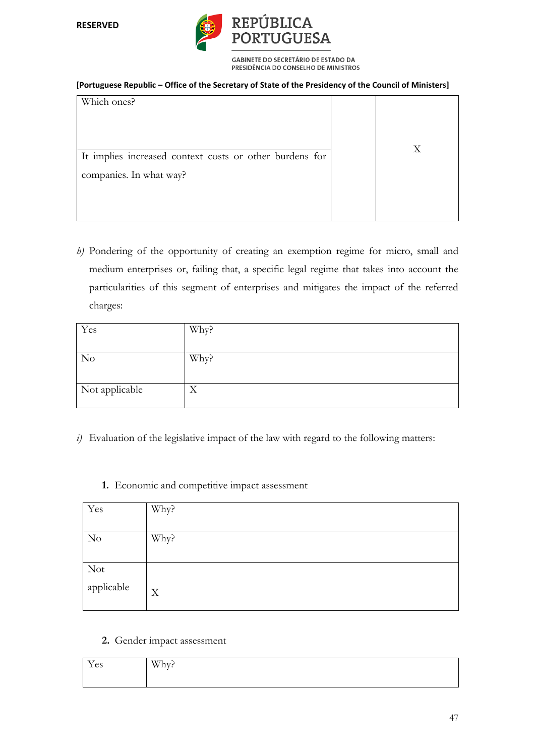

#### **[Portuguese Republic – Office of the Secretary of State of the Presidency of the Council of Ministers]**

| Which ones?                                             |   |
|---------------------------------------------------------|---|
|                                                         |   |
| It implies increased context costs or other burdens for | X |
| companies. In what way?                                 |   |
|                                                         |   |
|                                                         |   |

*h)* Pondering of the opportunity of creating an exemption regime for micro, small and medium enterprises or, failing that, a specific legal regime that takes into account the particularities of this segment of enterprises and mitigates the impact of the referred charges:

| Yes            | Why? |
|----------------|------|
|                |      |
| N <sub>o</sub> | Why? |
|                |      |
| Not applicable | X    |
|                |      |

- *i)* Evaluation of the legislative impact of the law with regard to the following matters:
	- **1.** Economic and competitive impact assessment

| Yes                                   | Why? |
|---------------------------------------|------|
| N <sub>o</sub>                        | Why? |
| $\overline{\text{Not}}$<br>applicable | X    |

**2.** Gender impact assessment

| $\mathbf{v}$<br>$\alpha$<br>100 | $W/h_{rr}$<br>TIA: |
|---------------------------------|--------------------|
|                                 |                    |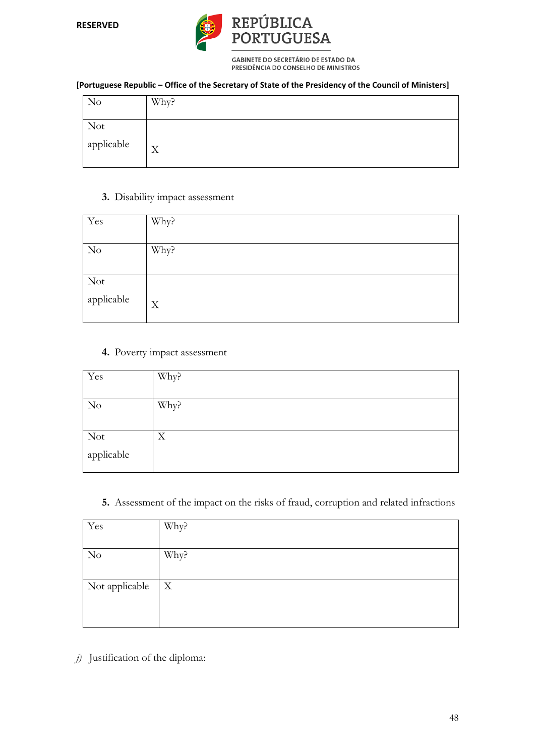

#### **[Portuguese Republic – Office of the Secretary of State of the Presidency of the Council of Ministers]**

| N <sub>o</sub> | Why? |
|----------------|------|
| <b>Not</b>     |      |
| applicable     | X    |

## **3.** Disability impact assessment

| Yes               | Why? |
|-------------------|------|
| N <sub>o</sub>    | Why? |
| Not<br>applicable | X    |

## **4.** Poverty impact assessment

| Yes            | Why? |
|----------------|------|
|                |      |
| N <sub>o</sub> | Why? |
|                |      |
| Not            | X    |
| applicable     |      |

## **5.** Assessment of the impact on the risks of fraud, corruption and related infractions

| Yes            | Why?         |
|----------------|--------------|
|                |              |
| N <sub>o</sub> | Why?         |
|                |              |
| Not applicable | $\mathbf{X}$ |
|                |              |
|                |              |

*j)* Justification of the diploma: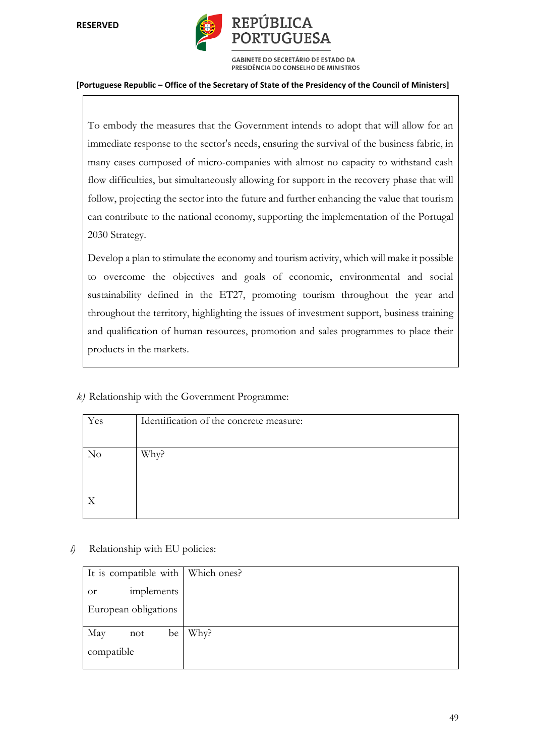

#### **[Portuguese Republic – Office of the Secretary of State of the Presidency of the Council of Ministers]**

To embody the measures that the Government intends to adopt that will allow for an immediate response to the sector's needs, ensuring the survival of the business fabric, in many cases composed of micro-companies with almost no capacity to withstand cash flow difficulties, but simultaneously allowing for support in the recovery phase that will follow, projecting the sector into the future and further enhancing the value that tourism can contribute to the national economy, supporting the implementation of the Portugal 2030 Strategy.

Develop a plan to stimulate the economy and tourism activity, which will make it possible to overcome the objectives and goals of economic, environmental and social sustainability defined in the ET27, promoting tourism throughout the year and throughout the territory, highlighting the issues of investment support, business training and qualification of human resources, promotion and sales programmes to place their products in the markets.

*k)* Relationship with the Government Programme:

| Yes | Identification of the concrete measure: |
|-----|-----------------------------------------|
|     |                                         |
| No  | Why?                                    |
|     |                                         |
|     |                                         |
| X   |                                         |
|     |                                         |

*l)* Relationship with EU policies:

| It is compatible with   Which ones? |      |
|-------------------------------------|------|
| implements<br><b>or</b>             |      |
| European obligations                |      |
| May<br>be<br>not                    | Why? |
| compatible                          |      |